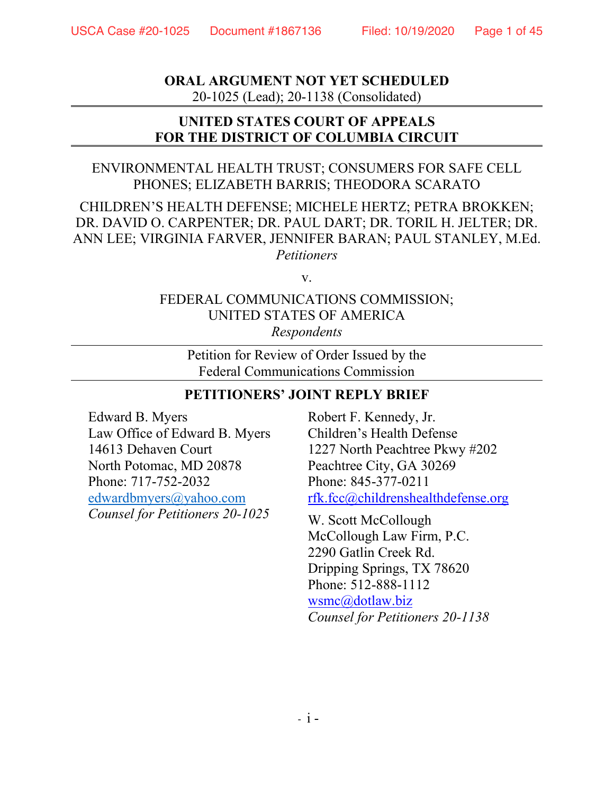**ORAL ARGUMENT NOT YET SCHEDULED** 20-1025 (Lead); 20-1138 (Consolidated)

## **UNITED STATES COURT OF APPEALS FOR THE DISTRICT OF COLUMBIA CIRCUIT**

## ENVIRONMENTAL HEALTH TRUST; CONSUMERS FOR SAFE CELL PHONES; ELIZABETH BARRIS; THEODORA SCARATO

## CHILDREN'S HEALTH DEFENSE; MICHELE HERTZ; PETRA BROKKEN; DR. DAVID O. CARPENTER; DR. PAUL DART; DR. TORIL H. JELTER; DR. ANN LEE; VIRGINIA FARVER, JENNIFER BARAN; PAUL STANLEY, M.Ed. *Petitioners*

v.

## FEDERAL COMMUNICATIONS COMMISSION; UNITED STATES OF AMERICA *Respondents*

Petition for Review of Order Issued by the Federal Communications Commission

## **PETITIONERS' JOINT REPLY BRIEF**

Edward B. Myers Law Office of Edward B. Myers 14613 Dehaven Court North Potomac, MD 20878 Phone: 717-752-2032 [edwardbmyers@yahoo.com](mailto:edwardbmyers@yahoo.com) *Counsel for Petitioners 20-1025*

Robert F. Kennedy, Jr. Children's Health Defense 1227 North Peachtree Pkwy #202 Peachtree City, GA 30269 Phone: 845-377-0211 [rfk.fcc@childrenshealthdefense.org](mailto:rfk.fcc@childrenshealthdefense.orgm)

W. Scott McCollough McCollough Law Firm, P.C. 2290 Gatlin Creek Rd. Dripping Springs, TX 78620 Phone: 512-888-1112 [wsmc@dotlaw.biz](mailto:wsmc@dotlaw.biz) *Counsel for Petitioners 20-1138*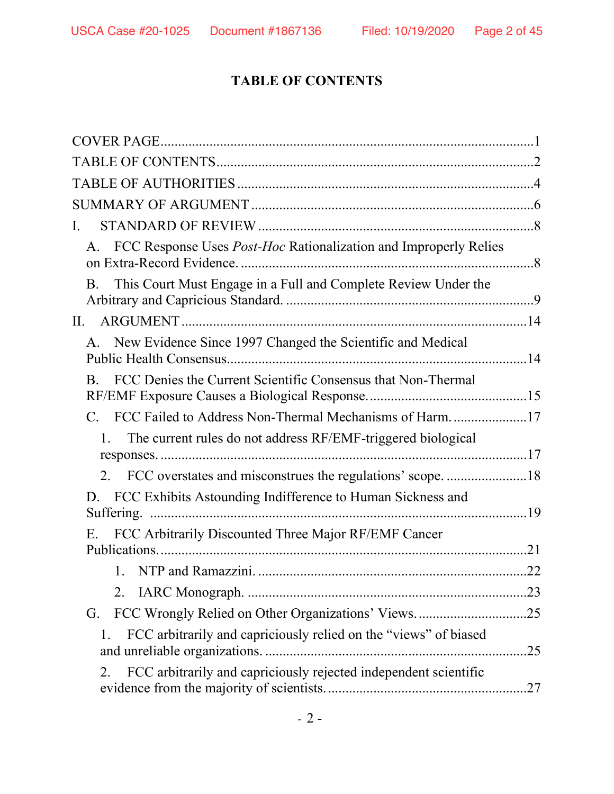# **TABLE OF CONTENTS**

| I.                                                                             |     |
|--------------------------------------------------------------------------------|-----|
| A. FCC Response Uses Post-Hoc Rationalization and Improperly Relies            |     |
| This Court Must Engage in a Full and Complete Review Under the<br><b>B.</b>    |     |
|                                                                                |     |
| A. New Evidence Since 1997 Changed the Scientific and Medical                  |     |
| FCC Denies the Current Scientific Consensus that Non-Thermal<br>$B_{-}$        |     |
| C. FCC Failed to Address Non-Thermal Mechanisms of Harm17                      |     |
| The current rules do not address RF/EMF-triggered biological<br>$\mathbf{1}$ . |     |
| 2. FCC overstates and misconstrues the regulations' scope18                    |     |
| FCC Exhibits Astounding Indifference to Human Sickness and                     |     |
| FCC Arbitrarily Discounted Three Major RF/EMF Cancer<br>Е.                     |     |
|                                                                                |     |
| 2.                                                                             | .23 |
| FCC Wrongly Relied on Other Organizations' Views25<br>G.                       |     |
| FCC arbitrarily and capriciously relied on the "views" of biased<br>1.         | .25 |
| FCC arbitrarily and capriciously rejected independent scientific<br>2.         |     |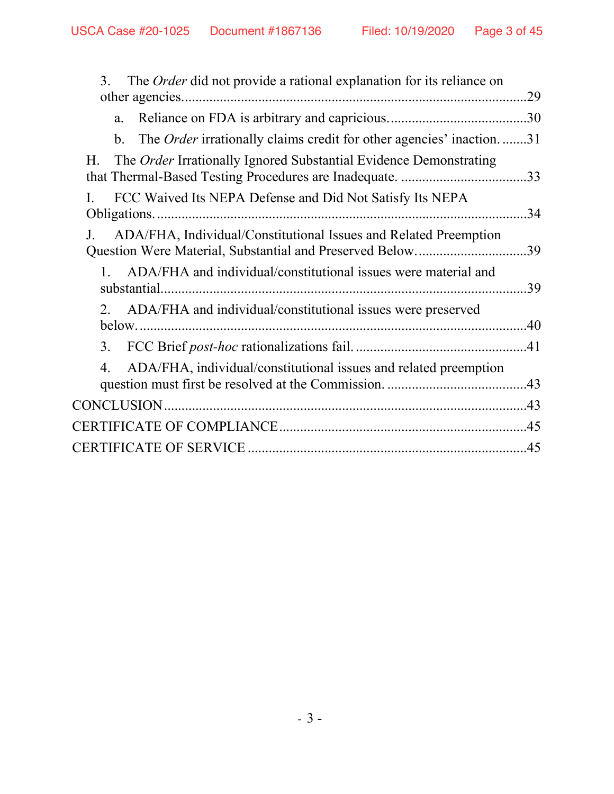| The <i>Order</i> did not provide a rational explanation for its reliance on<br>3.                                           | .29 |
|-----------------------------------------------------------------------------------------------------------------------------|-----|
| a.                                                                                                                          | .30 |
| The Order irrationally claims credit for other agencies' inaction31<br>$\mathbf{b}$ .                                       |     |
| The Order Irrationally Ignored Substantial Evidence Demonstrating<br>Н.                                                     |     |
| FCC Waived Its NEPA Defense and Did Not Satisfy Its NEPA                                                                    | .34 |
| ADA/FHA, Individual/Constitutional Issues and Related Preemption<br>Question Were Material, Substantial and Preserved Below | .39 |
| ADA/FHA and individual/constitutional issues were material and                                                              | .39 |
| ADA/FHA and individual/constitutional issues were preserved<br>2.                                                           |     |
| 3.                                                                                                                          |     |
| ADA/FHA, individual/constitutional issues and related preemption<br>4.                                                      |     |
|                                                                                                                             |     |
|                                                                                                                             |     |
|                                                                                                                             |     |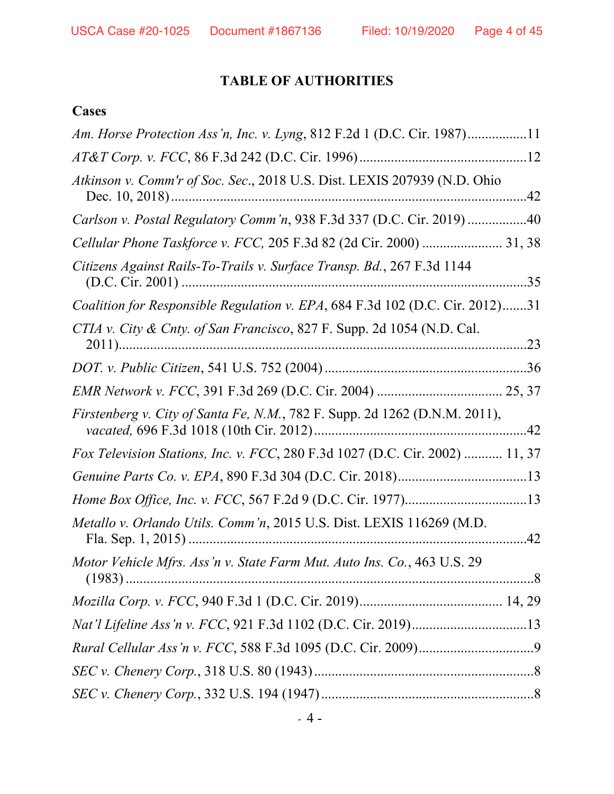# **TABLE OF AUTHORITIES**

# **Cases**

| Am. Horse Protection Ass'n, Inc. v. Lyng, 812 F.2d 1 (D.C. Cir. 1987)11      |
|------------------------------------------------------------------------------|
|                                                                              |
| Atkinson v. Comm'r of Soc. Sec., 2018 U.S. Dist. LEXIS 207939 (N.D. Ohio     |
| Carlson v. Postal Regulatory Comm'n, 938 F.3d 337 (D.C. Cir. 2019) 40        |
| Cellular Phone Taskforce v. FCC, 205 F.3d 82 (2d Cir. 2000)  31, 38          |
| Citizens Against Rails-To-Trails v. Surface Transp. Bd., 267 F.3d 1144       |
| Coalition for Responsible Regulation v. EPA, 684 F.3d 102 (D.C. Cir. 2012)31 |
| CTIA v. City & Cnty. of San Francisco, 827 F. Supp. 2d 1054 (N.D. Cal.       |
|                                                                              |
|                                                                              |
| Firstenberg v. City of Santa Fe, N.M., 782 F. Supp. 2d 1262 (D.N.M. 2011),   |
| Fox Television Stations, Inc. v. FCC, 280 F.3d 1027 (D.C. Cir. 2002)  11, 37 |
|                                                                              |
|                                                                              |
| Metallo v. Orlando Utils. Comm'n, 2015 U.S. Dist. LEXIS 116269 (M.D.         |
| Motor Vehicle Mfrs. Ass'n v. State Farm Mut. Auto Ins. Co., 463 U.S. 29      |
|                                                                              |
|                                                                              |
|                                                                              |
|                                                                              |
|                                                                              |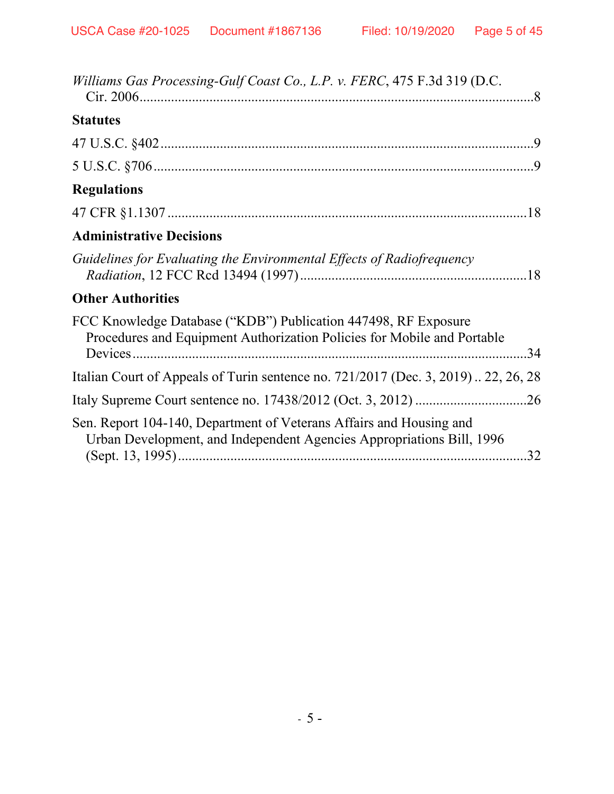| Williams Gas Processing-Gulf Coast Co., L.P. v. FERC, 475 F.3d 319 (D.C.                                                                         |
|--------------------------------------------------------------------------------------------------------------------------------------------------|
| <b>Statutes</b>                                                                                                                                  |
|                                                                                                                                                  |
|                                                                                                                                                  |
| <b>Regulations</b>                                                                                                                               |
|                                                                                                                                                  |
| <b>Administrative Decisions</b>                                                                                                                  |
| Guidelines for Evaluating the Environmental Effects of Radiofrequency                                                                            |
| <b>Other Authorities</b>                                                                                                                         |
| FCC Knowledge Database ("KDB") Publication 447498, RF Exposure<br>Procedures and Equipment Authorization Policies for Mobile and Portable<br>.34 |
| Italian Court of Appeals of Turin sentence no. 721/2017 (Dec. 3, 2019) 22, 26, 28                                                                |
|                                                                                                                                                  |
| Sen. Report 104-140, Department of Veterans Affairs and Housing and<br>Urban Development, and Independent Agencies Appropriations Bill, 1996     |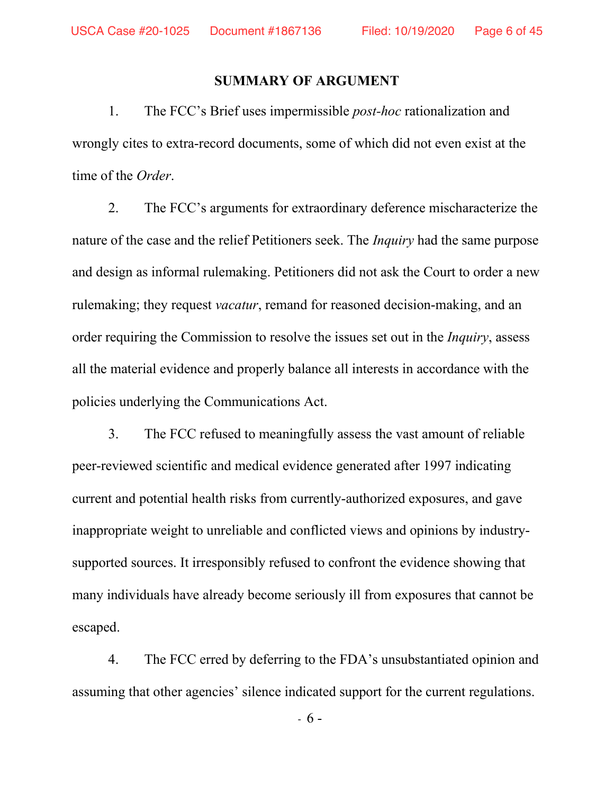#### **SUMMARY OF ARGUMENT**

1. The FCC's Brief uses impermissible *post-hoc* rationalization and wrongly cites to extra-record documents, some of which did not even exist at the time of the *Order*.

2. The FCC's arguments for extraordinary deference mischaracterize the nature of the case and the relief Petitioners seek. The *Inquiry* had the same purpose and design as informal rulemaking. Petitioners did not ask the Court to order a new rulemaking; they request *vacatur*, remand for reasoned decision-making, and an order requiring the Commission to resolve the issues set out in the *Inquiry*, assess all the material evidence and properly balance all interests in accordance with the policies underlying the Communications Act.

3. The FCC refused to meaningfully assess the vast amount of reliable peer-reviewed scientific and medical evidence generated after 1997 indicating current and potential health risks from currently-authorized exposures, and gave inappropriate weight to unreliable and conflicted views and opinions by industrysupported sources. It irresponsibly refused to confront the evidence showing that many individuals have already become seriously ill from exposures that cannot be escaped.

4. The FCC erred by deferring to the FDA's unsubstantiated opinion and assuming that other agencies' silence indicated support for the current regulations.

- 6 -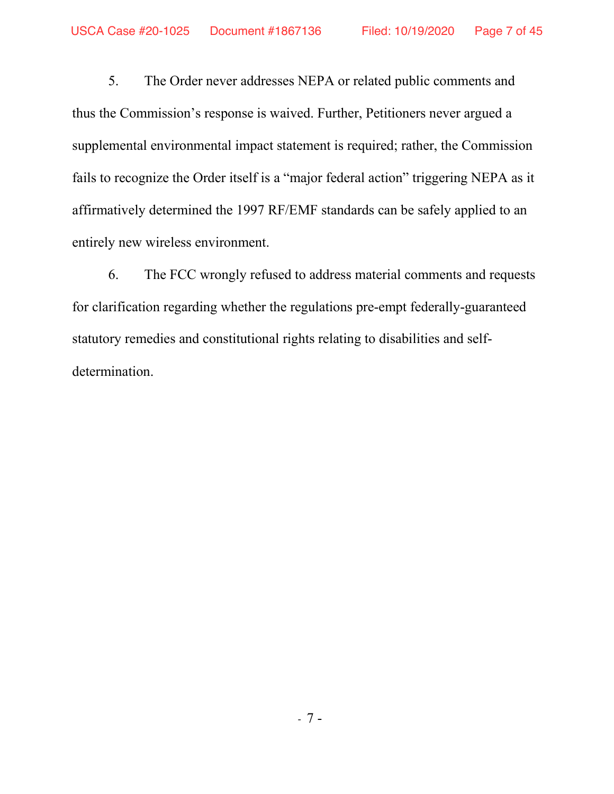5. The Order never addresses NEPA or related public comments and thus the Commission's response is waived. Further, Petitioners never argued a supplemental environmental impact statement is required; rather, the Commission fails to recognize the Order itself is a "major federal action" triggering NEPA as it affirmatively determined the 1997 RF/EMF standards can be safely applied to an entirely new wireless environment.

6. The FCC wrongly refused to address material comments and requests for clarification regarding whether the regulations pre-empt federally-guaranteed statutory remedies and constitutional rights relating to disabilities and selfdetermination.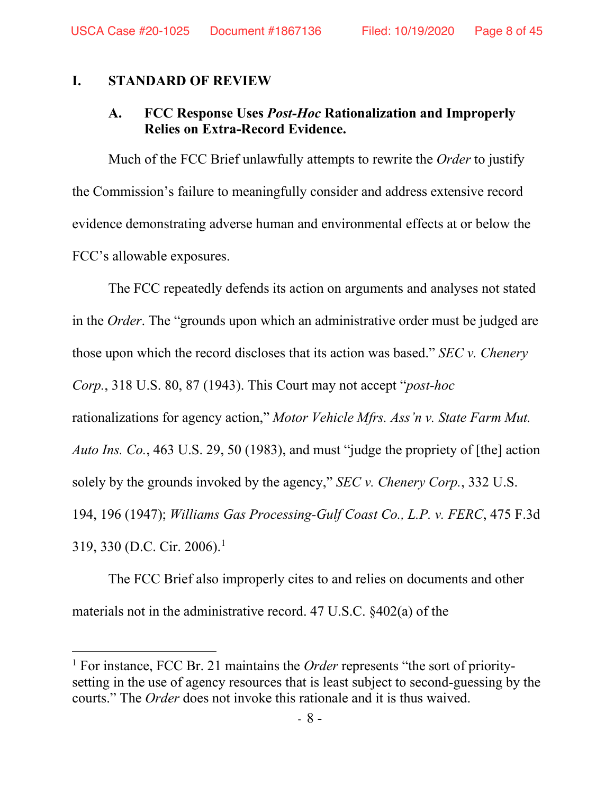#### **I. STANDARD OF REVIEW**

## **A. FCC Response Uses** *Post-Hoc* **Rationalization and Improperly Relies on Extra-Record Evidence.**

Much of the FCC Brief unlawfully attempts to rewrite the *Order* to justify the Commission's failure to meaningfully consider and address extensive record evidence demonstrating adverse human and environmental effects at or below the FCC's allowable exposures.

The FCC repeatedly defends its action on arguments and analyses not stated in the *Order*. The "grounds upon which an administrative order must be judged are those upon which the record discloses that its action was based." *SEC v. Chenery Corp.*, 318 U.S. 80, 87 (1943). This Court may not accept "*post-hoc* rationalizations for agency action," *Motor Vehicle Mfrs. Ass'n v. State Farm Mut. Auto Ins. Co.*, 463 U.S. 29, 50 (1983), and must "judge the propriety of [the] action solely by the grounds invoked by the agency," *SEC v. Chenery Corp.*, 332 U.S. 194, 196 (1947); *Williams Gas Processing-Gulf Coast Co., L.P. v. FERC*, 475 F.3d 319, 330 (D.C. Cir. 2006).1

The FCC Brief also improperly cites to and relies on documents and other materials not in the administrative record. 47 U.S.C. §402(a) of the

<sup>&</sup>lt;sup>1</sup> For instance, FCC Br. 21 maintains the *Order* represents "the sort of prioritysetting in the use of agency resources that is least subject to second-guessing by the courts." The *Order* does not invoke this rationale and it is thus waived.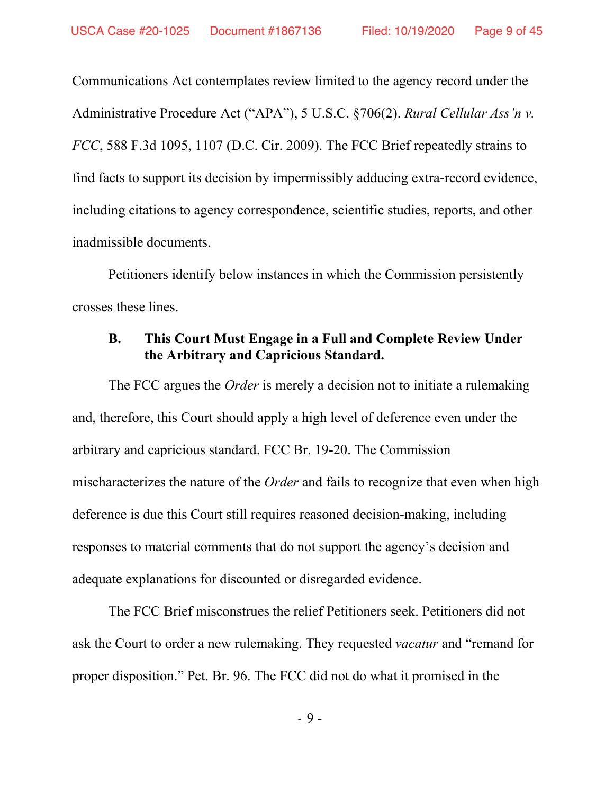Communications Act contemplates review limited to the agency record under the Administrative Procedure Act ("APA"), 5 U.S.C. §706(2). *Rural Cellular Ass'n v. FCC*, 588 F.3d 1095, 1107 (D.C. Cir. 2009). The FCC Brief repeatedly strains to find facts to support its decision by impermissibly adducing extra-record evidence, including citations to agency correspondence, scientific studies, reports, and other inadmissible documents.

Petitioners identify below instances in which the Commission persistently crosses these lines.

## **B. This Court Must Engage in a Full and Complete Review Under the Arbitrary and Capricious Standard.**

The FCC argues the *Order* is merely a decision not to initiate a rulemaking and, therefore, this Court should apply a high level of deference even under the arbitrary and capricious standard. FCC Br. 19-20. The Commission mischaracterizes the nature of the *Order* and fails to recognize that even when high deference is due this Court still requires reasoned decision-making, including responses to material comments that do not support the agency's decision and adequate explanations for discounted or disregarded evidence.

The FCC Brief misconstrues the relief Petitioners seek. Petitioners did not ask the Court to order a new rulemaking. They requested *vacatur* and "remand for proper disposition." Pet. Br. 96. The FCC did not do what it promised in the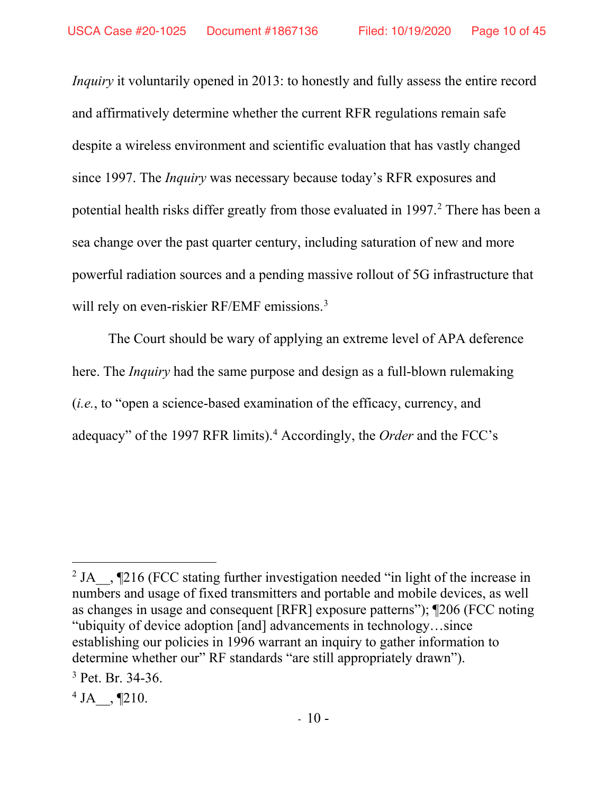*Inquiry* it voluntarily opened in 2013: to honestly and fully assess the entire record and affirmatively determine whether the current RFR regulations remain safe despite a wireless environment and scientific evaluation that has vastly changed since 1997. The *Inquiry* was necessary because today's RFR exposures and potential health risks differ greatly from those evaluated in 1997. <sup>2</sup> There has been a sea change over the past quarter century, including saturation of new and more powerful radiation sources and a pending massive rollout of 5G infrastructure that will rely on even-riskier RF/EMF emissions.<sup>3</sup>

The Court should be wary of applying an extreme level of APA deference here. The *Inquiry* had the same purpose and design as a full-blown rulemaking (*i.e.*, to "open a science-based examination of the efficacy, currency, and adequacy" of the 1997 RFR limits).4 Accordingly, the *Order* and the FCC's

<sup>&</sup>lt;sup>2</sup> JA  $\,$ , ¶216 (FCC stating further investigation needed "in light of the increase in numbers and usage of fixed transmitters and portable and mobile devices, as well as changes in usage and consequent [RFR] exposure patterns"); ¶206 (FCC noting "ubiquity of device adoption [and] advancements in technology…since establishing our policies in 1996 warrant an inquiry to gather information to determine whether our" RF standards "are still appropriately drawn").

 $3$  Pet. Br. 34-36.

 $4$  JA  $\,$  , ¶210.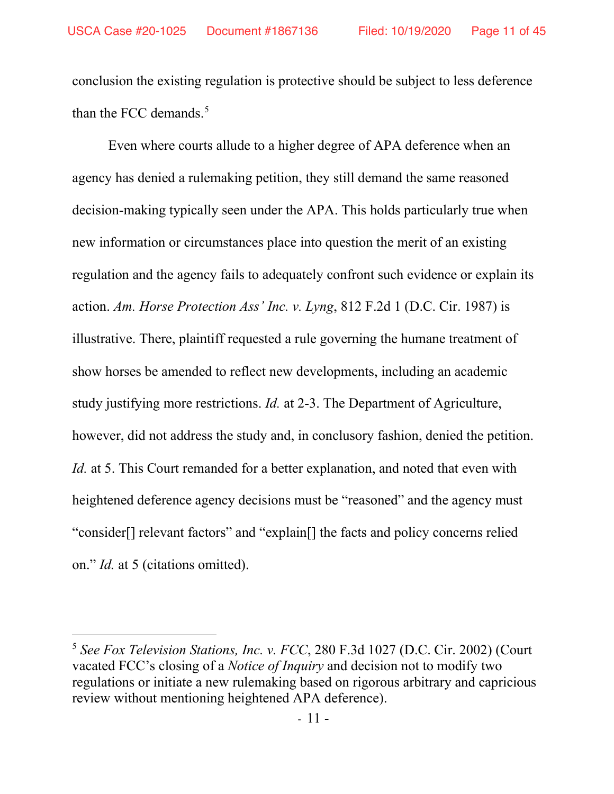conclusion the existing regulation is protective should be subject to less deference than the FCC demands.<sup>5</sup>

Even where courts allude to a higher degree of APA deference when an agency has denied a rulemaking petition, they still demand the same reasoned decision-making typically seen under the APA. This holds particularly true when new information or circumstances place into question the merit of an existing regulation and the agency fails to adequately confront such evidence or explain its action. *Am. Horse Protection Ass' Inc. v. Lyng*, 812 F.2d 1 (D.C. Cir. 1987) is illustrative. There, plaintiff requested a rule governing the humane treatment of show horses be amended to reflect new developments, including an academic study justifying more restrictions. *Id.* at 2-3. The Department of Agriculture, however, did not address the study and, in conclusory fashion, denied the petition. *Id.* at 5. This Court remanded for a better explanation, and noted that even with heightened deference agency decisions must be "reasoned" and the agency must "consider[] relevant factors" and "explain[] the facts and policy concerns relied on." *Id.* at 5 (citations omitted).

<sup>5</sup> *See Fox Television Stations, Inc. v. FCC*, 280 F.3d 1027 (D.C. Cir. 2002) (Court vacated FCC's closing of a *Notice of Inquiry* and decision not to modify two regulations or initiate a new rulemaking based on rigorous arbitrary and capricious review without mentioning heightened APA deference).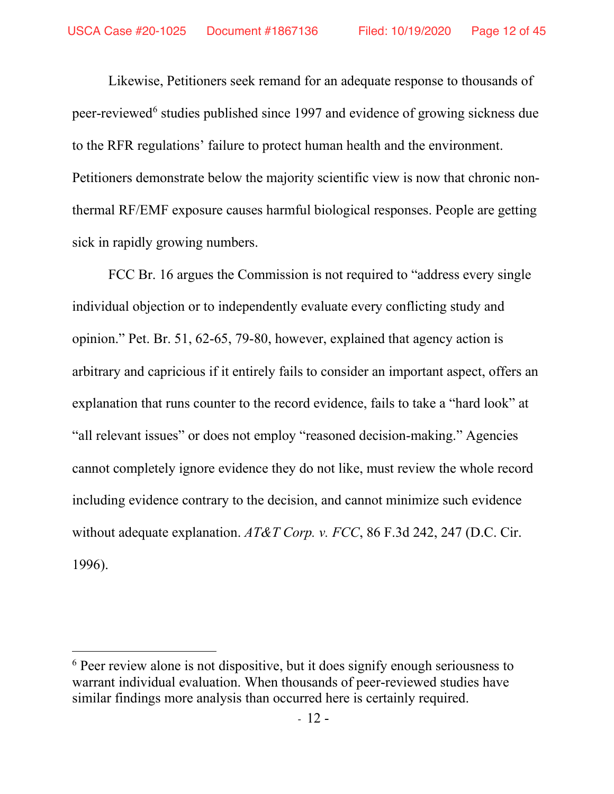Likewise, Petitioners seek remand for an adequate response to thousands of peer-reviewed<sup>6</sup> studies published since 1997 and evidence of growing sickness due to the RFR regulations' failure to protect human health and the environment. Petitioners demonstrate below the majority scientific view is now that chronic nonthermal RF/EMF exposure causes harmful biological responses. People are getting sick in rapidly growing numbers.

FCC Br. 16 argues the Commission is not required to "address every single individual objection or to independently evaluate every conflicting study and opinion." Pet. Br. 51, 62-65, 79-80, however, explained that agency action is arbitrary and capricious if it entirely fails to consider an important aspect, offers an explanation that runs counter to the record evidence, fails to take a "hard look" at "all relevant issues" or does not employ "reasoned decision-making." Agencies cannot completely ignore evidence they do not like, must review the whole record including evidence contrary to the decision, and cannot minimize such evidence without adequate explanation. *AT&T Corp. v. FCC*, 86 F.3d 242, 247 (D.C. Cir. 1996).

<sup>&</sup>lt;sup>6</sup> Peer review alone is not dispositive, but it does signify enough seriousness to warrant individual evaluation. When thousands of peer-reviewed studies have similar findings more analysis than occurred here is certainly required.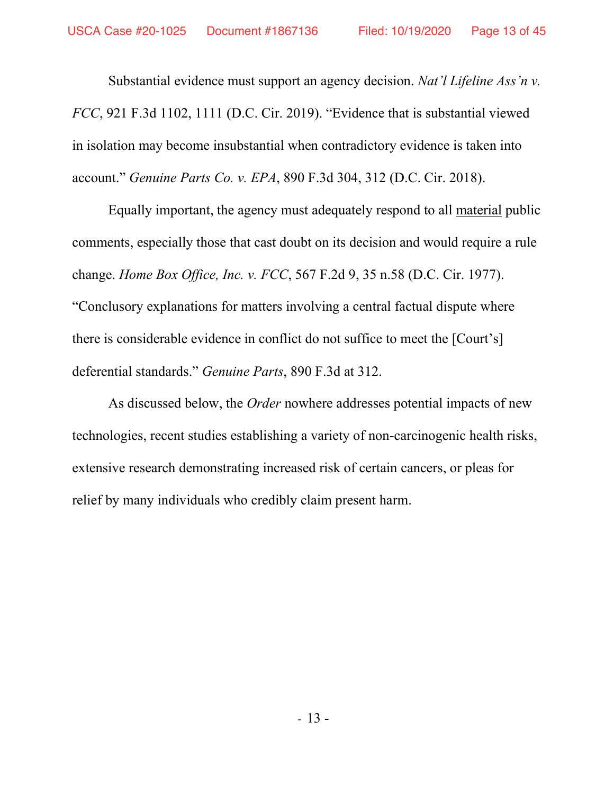Substantial evidence must support an agency decision. *Nat'l Lifeline Ass'n v. FCC*, 921 F.3d 1102, 1111 (D.C. Cir. 2019). "Evidence that is substantial viewed in isolation may become insubstantial when contradictory evidence is taken into account." *Genuine Parts Co. v. EPA*, 890 F.3d 304, 312 (D.C. Cir. 2018).

Equally important, the agency must adequately respond to all material public comments, especially those that cast doubt on its decision and would require a rule change. *Home Box Office, Inc. v. FCC*, 567 F.2d 9, 35 n.58 (D.C. Cir. 1977). "Conclusory explanations for matters involving a central factual dispute where there is considerable evidence in conflict do not suffice to meet the [Court's] deferential standards." *Genuine Parts*, 890 F.3d at 312.

As discussed below, the *Order* nowhere addresses potential impacts of new technologies, recent studies establishing a variety of non-carcinogenic health risks, extensive research demonstrating increased risk of certain cancers, or pleas for relief by many individuals who credibly claim present harm.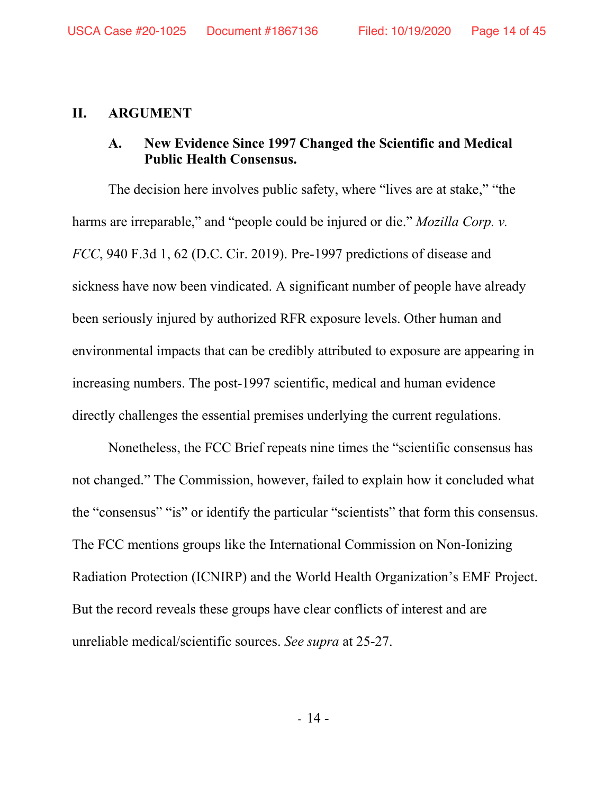#### **II. ARGUMENT**

## **A. New Evidence Since 1997 Changed the Scientific and Medical Public Health Consensus.**

The decision here involves public safety, where "lives are at stake," "the harms are irreparable," and "people could be injured or die." *Mozilla Corp. v. FCC*, 940 F.3d 1, 62 (D.C. Cir. 2019). Pre-1997 predictions of disease and sickness have now been vindicated. A significant number of people have already been seriously injured by authorized RFR exposure levels. Other human and environmental impacts that can be credibly attributed to exposure are appearing in increasing numbers. The post-1997 scientific, medical and human evidence directly challenges the essential premises underlying the current regulations.

Nonetheless, the FCC Brief repeats nine times the "scientific consensus has not changed." The Commission, however, failed to explain how it concluded what the "consensus" "is" or identify the particular "scientists" that form this consensus. The FCC mentions groups like the International Commission on Non-Ionizing Radiation Protection (ICNIRP) and the World Health Organization's EMF Project. But the record reveals these groups have clear conflicts of interest and are unreliable medical/scientific sources. *See supra* at 25-27.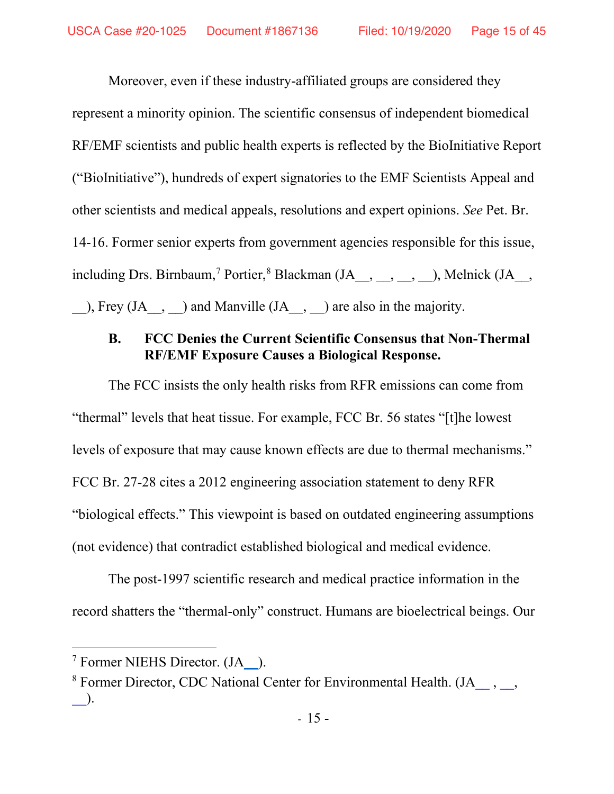Moreover, even if these industry-affiliated groups are considered they represent a minority opinion. The scientific consensus of independent biomedical RF/EMF scientists and public health experts is reflected by the BioInitiative Report ("BioInitiative"), hundreds of expert signatories to the EMF Scientists Appeal and other scientists and medical appeals, resolutions and expert opinions. *See* Pet. Br. 14-16. Former senior experts from government agencies responsible for this issue, including Drs. Birnbaum,<sup>7</sup> Portier,<sup>8</sup> Blackman (JA<sub>ng</sub>, hegen, D., Melnick (JA<sub>ng</sub>,  $\Box$ ), Frey (JA<sub>\_\_</sub>, [\\_\\_\)](https://ecfsapi.fcc.gov/file/109130755017293/Commentary%20on%20the%20utility%20of%20the%20National%20Toxicology%20Program%20study%20on%20cell%20T%20phone%20radiofrequency%20radiation%20data%20for%20assessing%20human%20health%20risks%20despite%20unfounded%20criticisms%20aimed%20at%20minimizing%20the%20findings%20of%20adverse%20health%20effects.pdf) and Manville (JA<sub>\_\_</sub>, [\\_\\_\)](https://ecfsapi.fcc.gov/file/10718080685516/Testimony-of-Albert-M.-Manville-for-Amazon-Creek.pdf) are also in the majority.

# **B. FCC Denies the Current Scientific Consensus that Non-Thermal RF/EMF Exposure Causes a Biological Response.**

The FCC insists the only health risks from RFR emissions can come from "thermal" levels that heat tissue. For example, FCC Br. 56 states "[t]he lowest levels of exposure that may cause known effects are due to thermal mechanisms." FCC Br. 27-28 cites a 2012 engineering association statement to deny RFR "biological effects." This viewpoint is based on outdated engineering assumptions (not evidence) that contradict established biological and medical evidence.

The post-1997 scientific research and medical practice information in the record shatters the "thermal-only" construct. Humans are bioelectrical beings. Our

<sup>7</sup> Former NIEHS Director. (J[A\\_\\_\)](https://ecfsapi.fcc.gov/file/10711815002508/FCCREPLYCommentsEnvironmentalHealthTrust%20PDF.pdf#page=31).

<sup>&</sup>lt;sup>8</sup> Former Director, CDC National Center for Environmental Health. (JA [\\_\\_,](https://ecfsapi.fcc.gov/file/109281909709478/Fifteen%20new%20studies%20on%20electromagnetic%20fields%20and%20biology%20or%20health.pdf#page=3) \_\_,  $\Box$ ).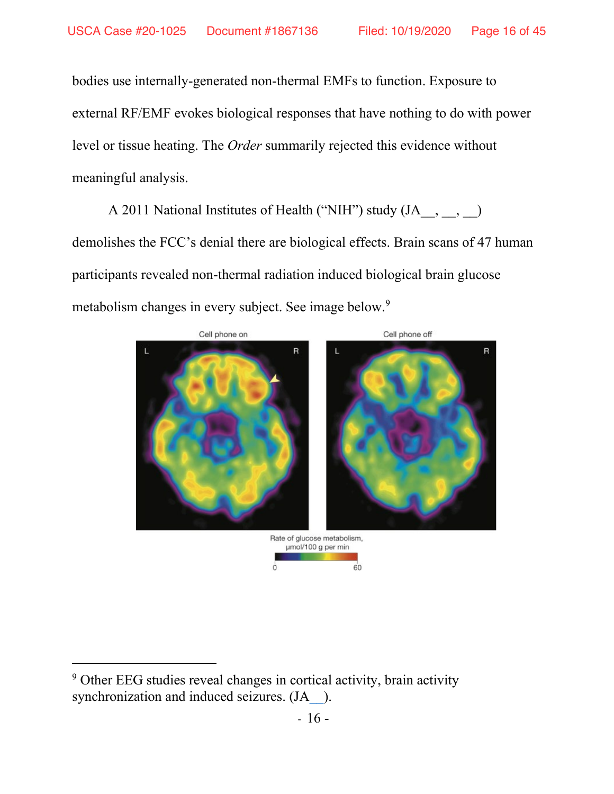bodies use internally-generated non-thermal EMFs to function. Exposure to external RF/EMF evokes biological responses that have nothing to do with power level or tissue heating. The *Order* summarily rejected this evidence without meaningful analysis.

A 2011 National Institutes of Health ("NIH") study (JA, , , ) demolishes the FCC's denial there are biological effects. Brain scans of 47 human participants revealed non-thermal radiation induced biological brain glucose metabolism changes in every subject. See image below.9



<sup>9</sup> Other EEG studies reveal changes in cortical activity, brain activity synchronization and induced seizures. (JA \_\_).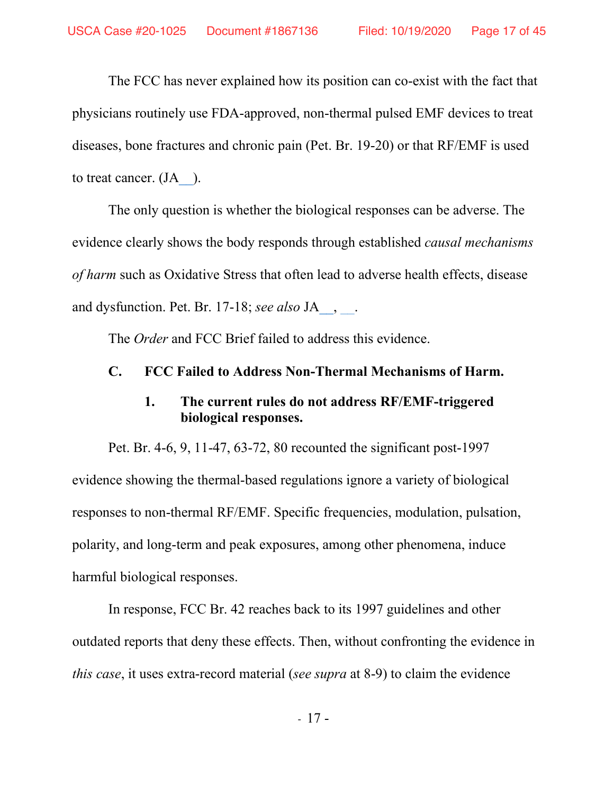The FCC has never explained how its position can co-exist with the fact that physicians routinely use FDA-approved, non-thermal pulsed EMF devices to treat diseases, bone fractures and chronic pain (Pet. Br. 19-20) or that RF/EMF is used to treat cancer. (JA ).

The only question is whether the biological responses can be adverse. The evidence clearly shows the body responds through established *causal mechanisms of harm* such as Oxidative Stress that often lead to adverse health effects, disease and dysfunction. Pet. Br. 17-18; *see also* JA<sub>1</sub>, .

The *Order* and FCC Brief failed to address this evidence.

### **C. FCC Failed to Address Non-Thermal Mechanisms of Harm.**

### **1. The current rules do not address RF/EMF-triggered biological responses.**

Pet. Br. 4-6, 9, 11-47, 63-72, 80 recounted the significant post-1997 evidence showing the thermal-based regulations ignore a variety of biological responses to non-thermal RF/EMF. Specific frequencies, modulation, pulsation, polarity, and long-term and peak exposures, among other phenomena, induce harmful biological responses.

In response, FCC Br. 42 reaches back to its 1997 guidelines and other outdated reports that deny these effects. Then, without confronting the evidence in *this case*, it uses extra-record material (*see supra* at 8-9) to claim the evidence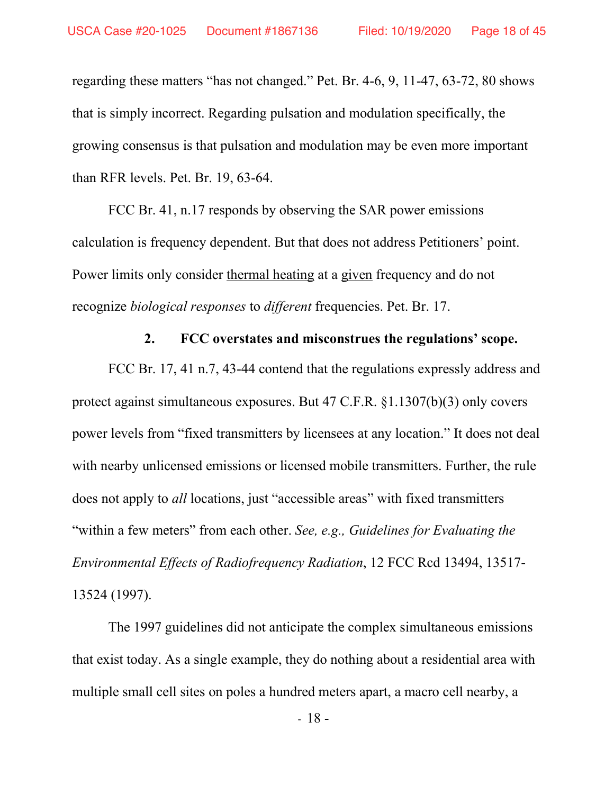regarding these matters "has not changed." Pet. Br. 4-6, 9, 11-47, 63-72, 80 shows that is simply incorrect. Regarding pulsation and modulation specifically, the growing consensus is that pulsation and modulation may be even more important than RFR levels. Pet. Br. 19, 63-64.

FCC Br. 41, n.17 responds by observing the SAR power emissions calculation is frequency dependent. But that does not address Petitioners' point. Power limits only consider thermal heating at a given frequency and do not recognize *biological responses* to *different* frequencies. Pet. Br. 17.

#### **2. FCC overstates and misconstrues the regulations' scope.**

FCC Br. 17, 41 n.7, 43-44 contend that the regulations expressly address and protect against simultaneous exposures. But 47 C.F.R. §1.1307(b)(3) only covers power levels from "fixed transmitters by licensees at any location." It does not deal with nearby unlicensed emissions or licensed mobile transmitters. Further, the rule does not apply to *all* locations, just "accessible areas" with fixed transmitters "within a few meters" from each other. *See, e.g., Guidelines for Evaluating the Environmental Effects of Radiofrequency Radiation*, 12 FCC Rcd 13494, 13517- 13524 (1997).

The 1997 guidelines did not anticipate the complex simultaneous emissions that exist today. As a single example, they do nothing about a residential area with multiple small cell sites on poles a hundred meters apart, a macro cell nearby, a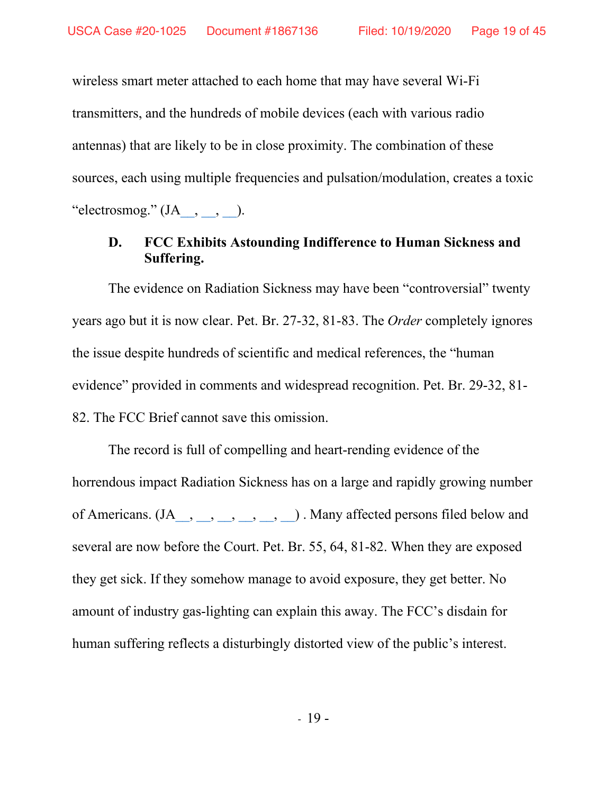wireless smart meter attached to each home that may have several Wi-Fi transmitters, and the hundreds of mobile devices (each with various radio antennas) that are likely to be in close proximity. The combination of these sources, each using multiple frequencies and pulsation/modulation, creates a toxic "electrosmog."  $(IA_{\_,\_,\_,\_}).$ 

## **D. FCC Exhibits Astounding Indifference to Human Sickness and Suffering.**

The evidence on Radiation Sickness may have been "controversial" twenty years ago but it is now clear. Pet. Br. 27-32, 81-83. The *Order* completely ignores the issue despite hundreds of scientific and medical references, the "human evidence" provided in comments and widespread recognition. Pet. Br. 29-32, 81- 82. The FCC Brief cannot save this omission.

The record is full of compelling and heart-rending evidence of the horrendous impact Radiation Sickness has on a large and rapidly growing number of Americans.  $(JA_1, \ldots, \ldots, \ldots, \ldots, \ldots)$ . Many affected persons filed below and several are now before the Court. Pet. Br. 55, 64, 81-82. When they are exposed they get sick. If they somehow manage to avoid exposure, they get better. No amount of industry gas-lighting can explain this away. The FCC's disdain for human suffering reflects a disturbingly distorted view of the public's interest.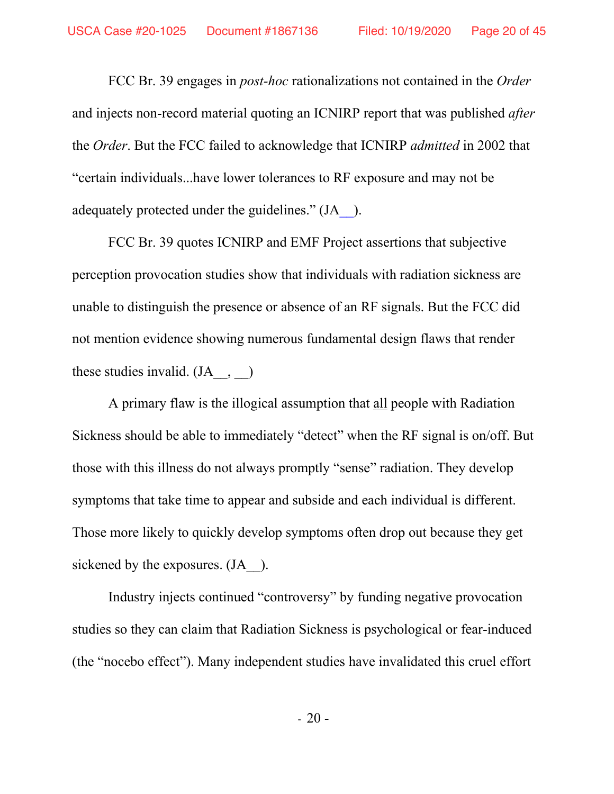FCC Br. 39 engages in *post-hoc* rationalizations not contained in the *Order* and injects non-record material quoting an ICNIRP report that was published *after* the *Order*. But the FCC failed to acknowledge that ICNIRP *admitted* in 2002 that "certain individuals...have lower tolerances to RF exposure and may not be adequately protected under the guidelines." (J[A\\_\\_\)](https://ecfsapi.fcc.gov/file/107132219121452/FCC%20comments.docx).

FCC Br. 39 quotes ICNIRP and EMF Project assertions that subjective perception provocation studies show that individuals with radiation sickness are unable to distinguish the presence or absence of an RF signals. But the FCC did not mention evidence showing numerous fundamental design flaws that render these studies invalid.  $(JA, \quad , \quad )$ 

A primary flaw is the illogical assumption that all people with Radiation Sickness should be able to immediately "detect" when the RF signal is on/off. But those with this illness do not always promptly "sense" radiation. They develop symptoms that take time to appear and subside and each individual is different. Those more likely to quickly develop symptoms often drop out because they get sickened by the exposures. (JA  $\Box$ ).

Industry injects continued "controversy" by funding negative provocation studies so they can claim that Radiation Sickness is psychological or fear-induced (the "nocebo effect"). Many independent studies have invalidated this cruel effort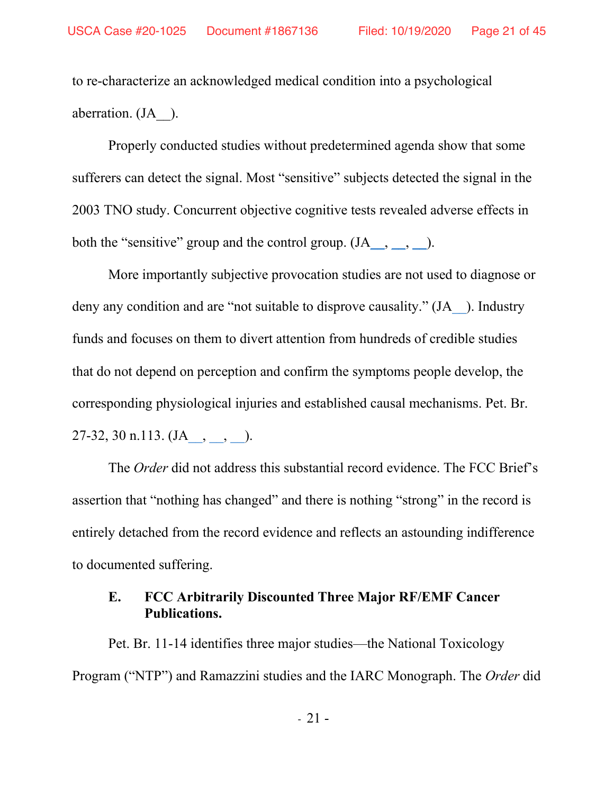to re-characterize an acknowledged medical condition into a psychological aberration. (J[A\\_\\_\)](https://ecfsapi.fcc.gov/file/1070795887708/Dr_Erica_Mallery-Blythe_EHS_A_Summary_Working_Draft_Version_1_Dec_2014_for_EESC_Brussels_(3)%20(1).pdf).

Properly conducted studies without predetermined agenda show that some sufferers can detect the signal. Most "sensitive" subjects detected the signal in the 2003 TNO study. Concurrent objective cognitive tests revealed adverse effects in both the "sensitive" group and the control group.  $(JA_{\_,\_,\_,\_}).$ 

More importantly subjective provocation studies are not used to diagnose or deny any condition and are "not suitable to disprove causality." (J[A\\_\\_\)](https://ecfsapi.fcc.gov/file/10709642227609/Belyaev%20et%20al%202015.pdf#page=11). Industry funds and focuses on them to divert attention from hundreds of credible studies that do not depend on perception and confirm the symptoms people develop, the corresponding physiological injuries and established causal mechanisms. Pet. Br. 27-32, 30 n.113.  $(JA_-, \_$ .

The *Order* did not address this substantial record evidence. The FCC Brief's assertion that "nothing has changed" and there is nothing "strong" in the record is entirely detached from the record evidence and reflects an astounding indifference to documented suffering.

## **E. FCC Arbitrarily Discounted Three Major RF/EMF Cancer Publications.**

Pet. Br. 11-14 identifies three major studies—the National Toxicology Program ("NTP") and Ramazzini studies and the IARC Monograph. The *Order* did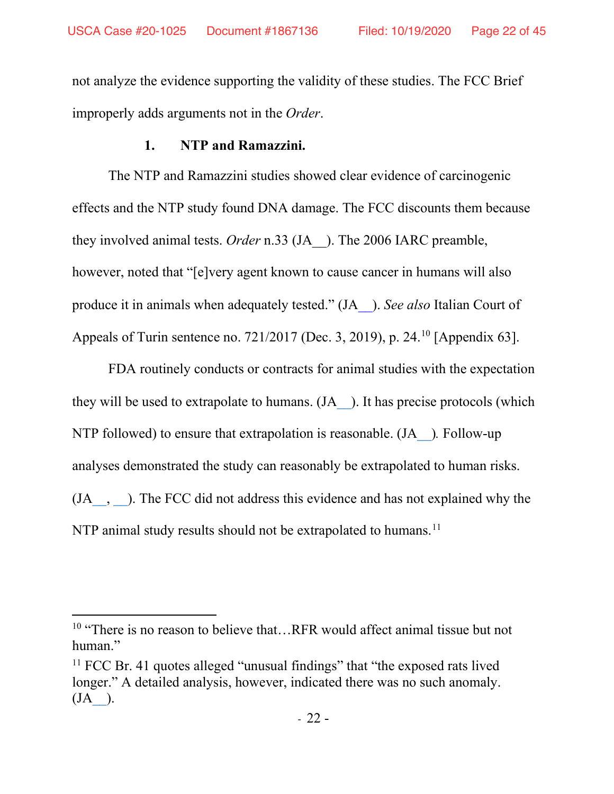not analyze the evidence supporting the validity of these studies. The FCC Brief improperly adds arguments not in the *Order*.

## **1. NTP and Ramazzini.**

The NTP and Ramazzini studies showed clear evidence of carcinogenic effects and the NTP study found DNA damage. The FCC discounts them because they involved animal tests. *Order* n.33 (JA\_\_). The 2006 IARC preamble, however, noted that "[e]very agent known to cause cancer in humans will also produce it in animals when adequately tested." (J[A\\_\\_\)](https://ecfsapi.fcc.gov/file/109130755017293/Commentary%20on%20the%20utility%20of%20the%20National%20Toxicology%20Program%20study%20on%20cell%20T%20phone%20radiofrequency%20radiation%20data%20for%20assessing%20human%20health%20risks%20despite%20unfounded%20criticisms%20aimed%20at%20minimizing%20the%20findings%20of%20adverse%20health%20effects.pdf). *See also* Italian Court of Appeals of Turin sentence no. 721/2017 (Dec. 3, 2019), p. 24. 10 [Appendix 63].

FDA routinely conducts or contracts for animal studies with the expectation they will be used to extrapolate to humans. (J[A\\_\\_\)](https://ecfsapi.fcc.gov/file/1001332406626/Melnick-Commentary%20on%20the%20utility%20of%20the%20National%20Toxicology%20Program%20study.pdf). It has precise protocols (which NTP followed) to ensure that extrapolation is reasonable. (J[A\\_\\_\)](https://ecfsapi.fcc.gov/file/10709642227609/NTP%20Study%20on%20Rodents%20Draft%20report%20Glioma%20May%202016.pdf)*.* Follow-up analyses demonstrated the study can reasonably be extrapolated to human risks. (J[A\\_\\_,](https://ecfsapi.fcc.gov/file/1001332406626/Melnick-Commentary%20on%20the%20utility%20of%20the%20National%20Toxicology%20Program%20study.pdf) [\\_\\_\)](https://ecfsapi.fcc.gov/file/10417078206082/Hardell%20and%20Carlberg%20Comment%20on%20NTP%20study%20(1).pdf). The FCC did not address this evidence and has not explained why the NTP animal study results should not be extrapolated to humans.<sup>11</sup>

<sup>&</sup>lt;sup>10</sup> "There is no reason to believe that...RFR would affect animal tissue but not human."

 $11$  FCC Br. 41 quotes alleged "unusual findings" that "the exposed rats lived longer." A detailed analysis, however, indicated there was no such anomaly.  $(JA)$ .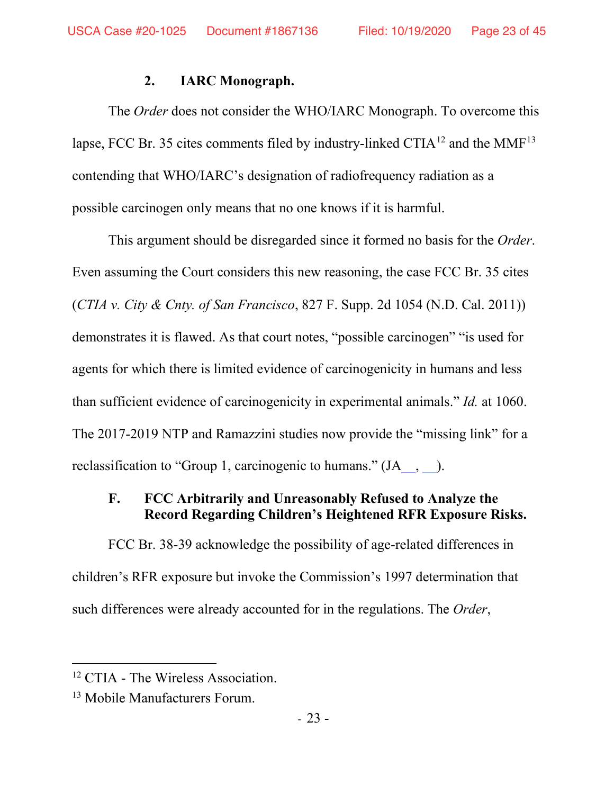#### **2. IARC Monograph.**

The *Order* does not consider the WHO/IARC Monograph. To overcome this lapse, FCC Br. 35 cites comments filed by industry-linked CTIA<sup>12</sup> and the MMF<sup>13</sup> contending that WHO/IARC's designation of radiofrequency radiation as a possible carcinogen only means that no one knows if it is harmful.

This argument should be disregarded since it formed no basis for the *Order*. Even assuming the Court considers this new reasoning, the case FCC Br. 35 cites (*CTIA v. City & Cnty. of San Francisco*, 827 F. Supp. 2d 1054 (N.D. Cal. 2011)) demonstrates it is flawed. As that court notes, "possible carcinogen" "is used for agents for which there is limited evidence of carcinogenicity in humans and less than sufficient evidence of carcinogenicity in experimental animals." *Id.* at 1060. The 2017-2019 NTP and Ramazzini studies now provide the "missing link" for a reclassification to "Group 1, carcinogenic to humans." (JA  $\,$ ,  $\,$  ).

## **F. FCC Arbitrarily and Unreasonably Refused to Analyze the Record Regarding Children's Heightened RFR Exposure Risks.**

FCC Br. 38-39 acknowledge the possibility of age-related differences in children's RFR exposure but invoke the Commission's 1997 determination that such differences were already accounted for in the regulations. The *Order*,

<sup>&</sup>lt;sup>12</sup> CTIA - The Wireless Association.

<sup>&</sup>lt;sup>13</sup> Mobile Manufacturers Forum.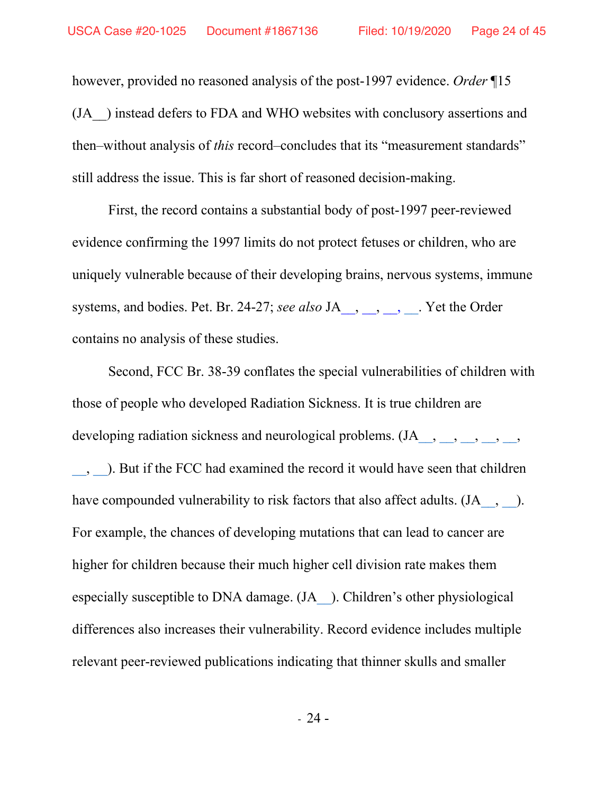however, provided no reasoned analysis of the post-1997 evidence. *Order* ¶15 (JA\_\_) instead defers to FDA and WHO websites with conclusory assertions and then–without analysis of *this* record–concludes that its "measurement standards" still address the issue. This is far short of reasoned decision-making.

First, the record contains a substantial body of post-1997 peer-reviewed evidence confirming the 1997 limits do not protect fetuses or children, who are uniquely vulnerable because of their developing brains, nervous systems, immune systems, and bodies. Pet. Br. 24-27; *see also* J[A\\_\\_,](https://ecfsapi.fcc.gov/file/10913927726988/Absorption%20of%20wireless%20radiation%20in%20the%20child%20versus%20adult%20brain%20and%20eye%20from%20T%20cell%20phone%20conversation%20or%20virtual%20reality.pdf) [\\_\\_,](https://ecfsapi.fcc.gov/file/7022311529.pdf) [\\_\\_,](https://ecfsapi.fcc.gov/file/10707243848074/07270279.pdf) [\\_\\_.](https://ecfsapi.fcc.gov/file/10709642227609/Yes%20the%20Children%20Are%20More%20Exposed%20to%20Radiofrequency%20Energy%20From%20Mobile%20Telephones%20Than%20Adults.pdf) Yet the Order contains no analysis of these studies.

Second, FCC Br. 38-39 conflates the special vulnerabilities of children with those of people who developed Radiation Sickness. It is true children are developing radiation sickness and neurological problems.  $(JA_1, \ldots, \ldots, \ldots, \ldots)$ [\\_\\_,](https://ecfsapi.fcc.gov/file/109282575321088/23-Attachment%2023-%20UCLA-USC%20Study%20Behavioral%20problems-Cell%20Phone%20Use%202012.pdf) [\\_\\_\)](https://ecfsapi.fcc.gov/file/1070795887708/Dr_Erica_Mallery-Blythe_EHS_A_Summary_Working_Draft_Version_1_Dec_2014_for_EESC_Brussels_(3)%20(1).pdf). But if the FCC had examined the record it would have seen that children have compounded vulnerability to risk factors that also affect adults. (JA\_, [\\_\\_\)](https://ecfsapi.fcc.gov/file/7520958128.pdf#page=5). For example, the chances of developing mutations that can lead to cancer are higher for children because their much higher cell division rate makes them especially susceptible to DNA damage. (J[A\\_\\_\)](https://ecfsapi.fcc.gov/file/7520958128.pdf#page6). Children's other physiological differences also increases their vulnerability. Record evidence includes multiple relevant peer-reviewed publications indicating that thinner skulls and smaller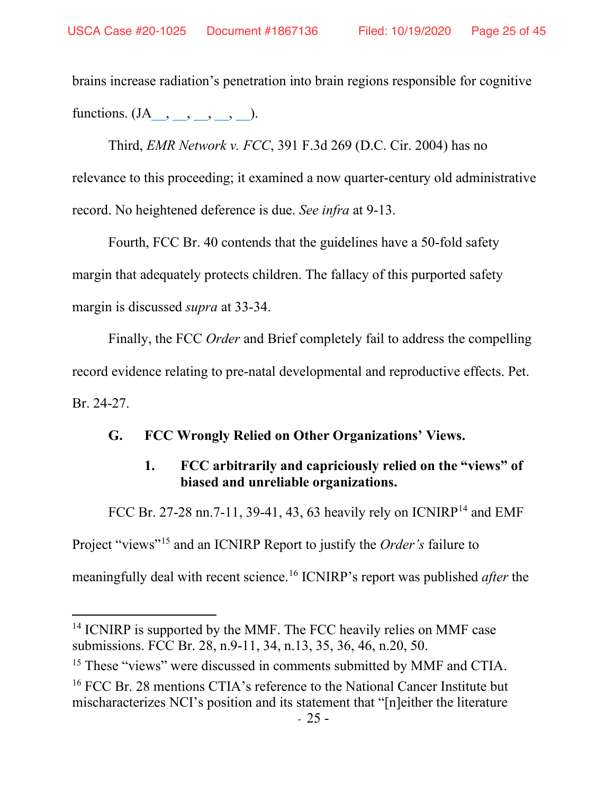brains increase radiation's penetration into brain regions responsible for cognitive functions.  $(JA_-, , , , , , ).$ 

Third, *EMR Network v. FCC*, 391 F.3d 269 (D.C. Cir. 2004) has no relevance to this proceeding; it examined a now quarter-century old administrative record. No heightened deference is due. *See infra* at 9-13.

Fourth, FCC Br. 40 contends that the guidelines have a 50-fold safety margin that adequately protects children. The fallacy of this purported safety margin is discussed *supra* at 33-34.

Finally, the FCC *Order* and Brief completely fail to address the compelling record evidence relating to pre-natal developmental and reproductive effects. Pet. Br. 24-27.

#### **G. FCC Wrongly Relied on Other Organizations' Views.**

## **1. FCC arbitrarily and capriciously relied on the "views" of biased and unreliable organizations.**

FCC Br. 27-28 nn. 7-11, 39-41, 43, 63 heavily rely on  $ICNIRP^{14}$  and EMF Project "views"15 and an ICNIRP Report to justify the *Order's* failure to meaningfully deal with recent science.16 ICNIRP's report was published *after* the

<sup>&</sup>lt;sup>14</sup> ICNIRP is supported by the MMF. The FCC heavily relies on MMF case submissions. FCC Br. 28, n.9-11, 34, n.13, 35, 36, 46, n.20, 50.

<sup>&</sup>lt;sup>15</sup> These "views" were discussed in comments submitted by MMF and CTIA.

<sup>&</sup>lt;sup>16</sup> FCC Br. 28 mentions CTIA's reference to the National Cancer Institute but mischaracterizes NCI's position and its statement that "[n]either the literature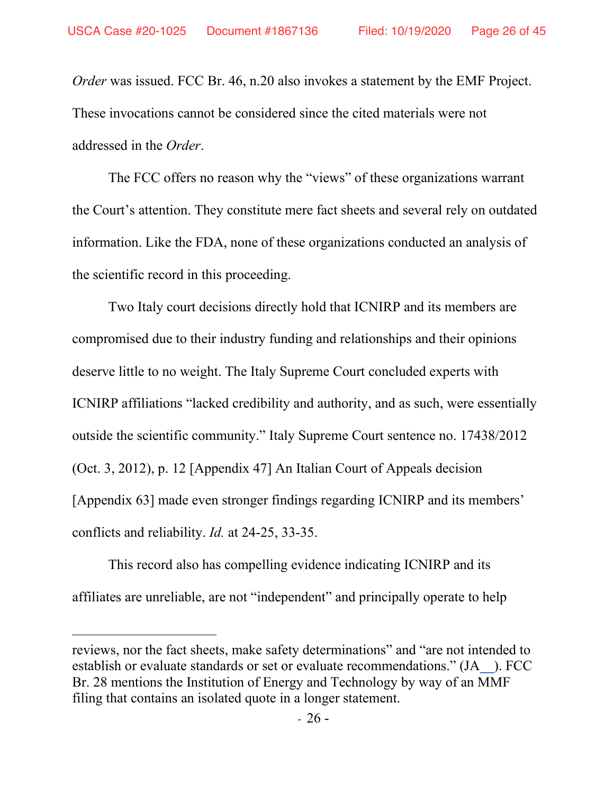*Order* was issued. FCC Br. 46, n.20 also invokes a statement by the EMF Project. These invocations cannot be considered since the cited materials were not addressed in the *Order*.

The FCC offers no reason why the "views" of these organizations warrant the Court's attention. They constitute mere fact sheets and several rely on outdated information. Like the FDA, none of these organizations conducted an analysis of the scientific record in this proceeding.

Two Italy court decisions directly hold that ICNIRP and its members are compromised due to their industry funding and relationships and their opinions deserve little to no weight. The Italy Supreme Court concluded experts with ICNIRP affiliations "lacked credibility and authority, and as such, were essentially outside the scientific community." Italy Supreme Court sentence no. 17438/2012 (Oct. 3, 2012), p. 12 [Appendix 47] An Italian Court of Appeals decision [Appendix 63] made even stronger findings regarding ICNIRP and its members' conflicts and reliability. *Id.* at 24-25, 33-35.

This record also has compelling evidence indicating ICNIRP and its affiliates are unreliable, are not "independent" and principally operate to help

reviews, nor the fact sheets, make safety determinations" and "are not intended to establish or evaluate standards or set or evaluate recommendations." (J[A\\_\\_\)](https://ecfsapi.fcc.gov/file/1070786836035/False%20Statements%20Made%20on%20MCPS%20Webpage%20Feb%202016%20Letter%20to%20MCPS.pdf#page=6). FCC Br. 28 mentions the Institution of Energy and Technology by way of an MMF filing that contains an isolated quote in a longer statement.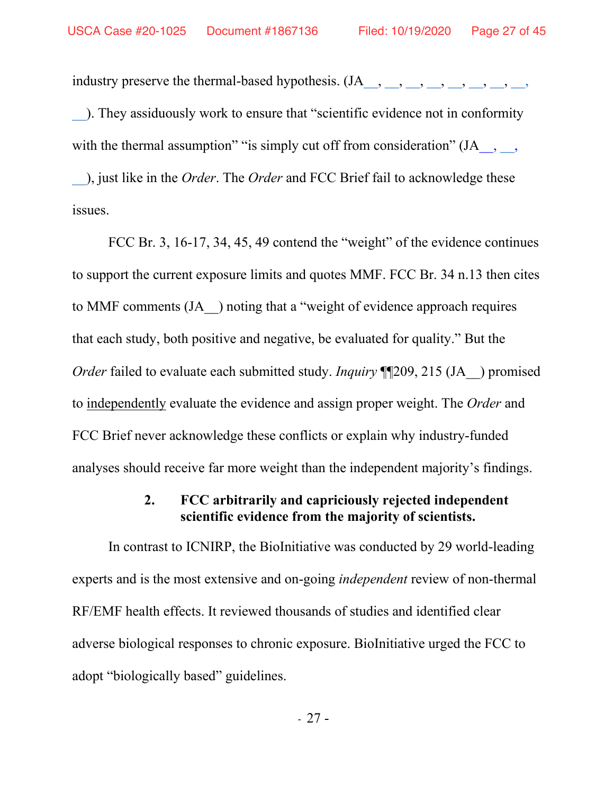industry preserve the thermal-based hypothesis. (J[A\\_\\_,](https://ecfsapi.fcc.gov/file/7022311352.pdf) [\\_\\_,](https://ecfsapi.fcc.gov/file/1092947358162/34-Attachment%2034-%20George%20Carlo%20PhD-Cell%20Phone%20Disease%20-2008.pdf) [\\_\\_,](https://ecfsapi.fcc.gov/file/7022311251.pdf) [\\_\\_,](https://ecfsapi.fcc.gov/file/7520941896.pdf) [\\_\\_,](https://ecfsapi.fcc.gov/file/7520958478.pdf) [\\_\\_,](https://ecfsapi.fcc.gov/file/7520958530.pdf) [\\_\\_,](https://ecfsapi.fcc.gov/file/7520940705.pdf) [\\_\\_,](https://ecfsapi.fcc.gov/file/1070786836035/False%20Statements%20Made%20on%20MCPS%20Webpage%20Feb%202016%20Letter%20to%20MCPS.pdf) [\\_\\_\)](https://ecfsapi.fcc.gov/file/7520941068.pdf). They assiduously work to ensure that "scientific evidence not in conformity with the thermal assumption" "is simply cut off from consideration" (JA\_,  $\qquad$ ,

[\\_\\_\)](https://www.fcc.gov/ecfs/filing/6017611741), just like in the *Order*. The *Order* and FCC Brief fail to acknowledge these issues.

FCC Br. 3, 16-17, 34, 45, 49 contend the "weight" of the evidence continues to support the current exposure limits and quotes MMF. FCC Br. 34 n.13 then cites to MMF comments (JA\_\_) noting that a "weight of evidence approach requires that each study, both positive and negative, be evaluated for quality." But the *Order* failed to evaluate each submitted study. *Inquiry* ¶[209, 215 (JA ) promised to independently evaluate the evidence and assign proper weight. The *Order* and FCC Brief never acknowledge these conflicts or explain why industry-funded analyses should receive far more weight than the independent majority's findings.

## **2. FCC arbitrarily and capriciously rejected independent scientific evidence from the majority of scientists.**

In contrast to ICNIRP, the BioInitiative was conducted by 29 world-leading experts and is the most extensive and on-going *independent* review of non-thermal RF/EMF health effects. It reviewed thousands of studies and identified clear adverse biological responses to chronic exposure. BioInitiative urged the FCC to adopt "biologically based" guidelines.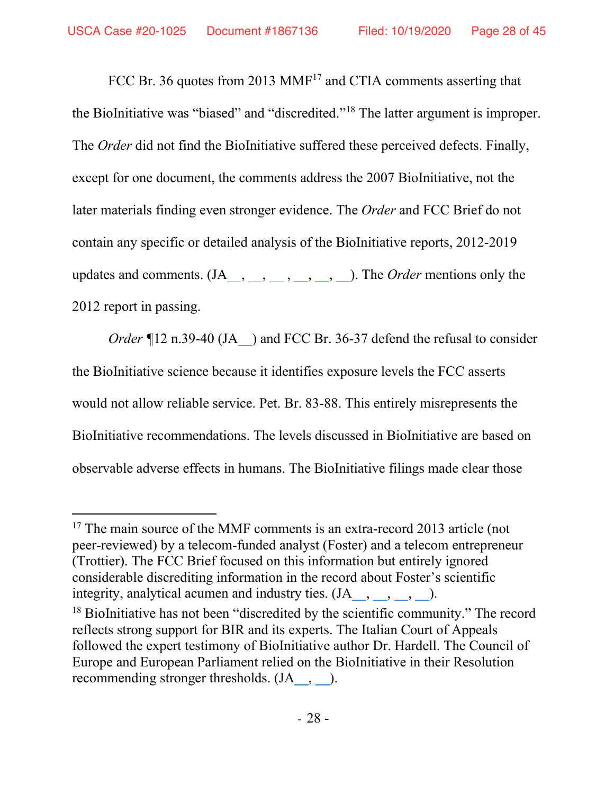FCC Br. 36 quotes from 2013  $MMF<sup>17</sup>$  and CTIA comments asserting that the BioInitiative was "biased" and "discredited."18 The latter argument is improper. The *Order* did not find the BioInitiative suffered these perceived defects. Finally, except for one document, the comments address the 2007 BioInitiative, not the later materials finding even stronger evidence. The *Order* and FCC Brief do not contain any specific or detailed analysis of the BioInitiative reports, 2012-2019 updates and comments.  $(JA_{\_,\_,\_,\_,\_,\_,\_,\_,\_})$ . The *Order* mentions only the 2012 report in passing.

*Order* ¶12 n.39-40 (JA ) and FCC Br. 36-37 defend the refusal to consider the BioInitiative science because it identifies exposure levels the FCC asserts would not allow reliable service. Pet. Br. 83-88. This entirely misrepresents the BioInitiative recommendations. The levels discussed in BioInitiative are based on observable adverse effects in humans. The BioInitiative filings made clear those

 $17$  The main source of the MMF comments is an extra-record 2013 article (not peer-reviewed) by a telecom-funded analyst (Foster) and a telecom entrepreneur (Trottier). The FCC Brief focused on this information but entirely ignored considerable discrediting information in the record about Foster's scientific integrity, analytical acumen and industry ties.  $(JA_{\_,\_,\_,\_,\_}).$ 

<sup>&</sup>lt;sup>18</sup> BioInitiative has not been "discredited by the scientific community." The record reflects strong support for BIR and its experts. The Italian Court of Appeals followed the expert testimony of BioInitiative author Dr. Hardell. The Council of Europe and European Parliament relied on the BioInitiative in their Resolution recommending stronger thresholds.  $(JA_{\_,\_,\_)$ .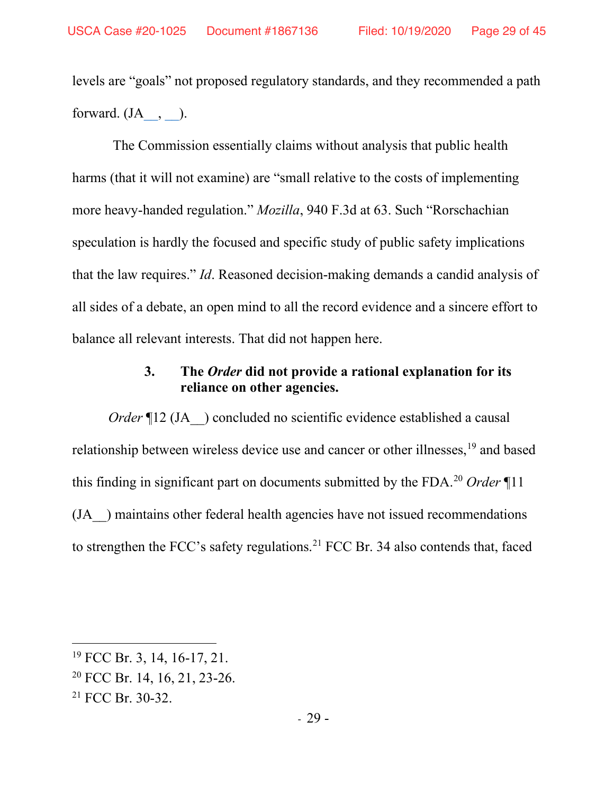levels are "goals" not proposed regulatory standards, and they recommended a path forward.  $(JA_-, )$ .

The Commission essentially claims without analysis that public health harms (that it will not examine) are "small relative to the costs of implementing more heavy-handed regulation." *Mozilla*, 940 F.3d at 63. Such "Rorschachian speculation is hardly the focused and specific study of public safety implications that the law requires." *Id*. Reasoned decision-making demands a candid analysis of all sides of a debate, an open mind to all the record evidence and a sincere effort to balance all relevant interests. That did not happen here.

## **3. The** *Order* **did not provide a rational explanation for its reliance on other agencies.**

*Order* ¶12 (JA ) concluded no scientific evidence established a causal relationship between wireless device use and cancer or other illnesses, <sup>19</sup> and based this finding in significant part on documents submitted by the FDA. <sup>20</sup> *Order* ¶11 (JA\_\_) maintains other federal health agencies have not issued recommendations to strengthen the FCC's safety regulations. <sup>21</sup> FCC Br. 34 also contends that, faced

<sup>&</sup>lt;sup>19</sup> FCC Br. 3, 14, 16-17, 21.

<sup>20</sup> FCC Br. 14, 16, 21, 23-26.

<sup>21</sup> FCC Br. 30-32.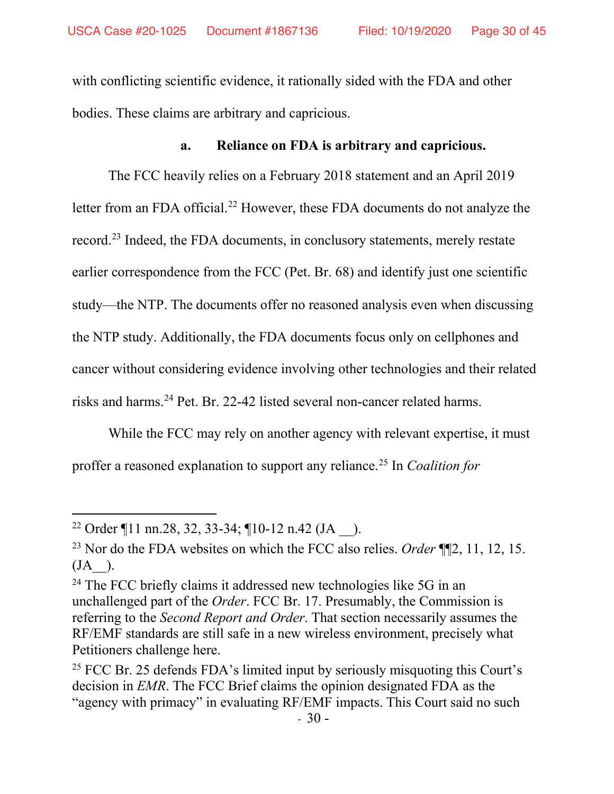with conflicting scientific evidence, it rationally sided with the FDA and other bodies. These claims are arbitrary and capricious.

### **a. Reliance on FDA is arbitrary and capricious.**

The FCC heavily relies on a February 2018 statement and an April 2019 letter from an FDA official.<sup>22</sup> However, these FDA documents do not analyze the record.<sup>23</sup> Indeed, the FDA documents, in conclusory statements, merely restate earlier correspondence from the FCC (Pet. Br. 68) and identify just one scientific study—the NTP. The documents offer no reasoned analysis even when discussing the NTP study. Additionally, the FDA documents focus only on cellphones and cancer without considering evidence involving other technologies and their related risks and harms.24 Pet. Br. 22-42 listed several non-cancer related harms.

While the FCC may rely on another agency with relevant expertise, it must proffer a reasoned explanation to support any reliance.25 In *Coalition for* 

<sup>&</sup>lt;sup>22</sup> Order ¶11 nn.28, 32, 33-34; ¶10-12 n.42 (JA  $\;$  ).

<sup>23</sup> Nor do the FDA websites on which the FCC also relies. *Order* ¶¶2, 11, 12, 15.  $(JA)$ .

<sup>&</sup>lt;sup>24</sup> The FCC briefly claims it addressed new technologies like 5G in an unchallenged part of the *Order*. FCC Br. 17. Presumably, the Commission is referring to the *Second Report and Order*. That section necessarily assumes the RF/EMF standards are still safe in a new wireless environment, precisely what Petitioners challenge here.

<sup>&</sup>lt;sup>25</sup> FCC Br. 25 defends FDA's limited input by seriously misquoting this Court's decision in *EMR*. The FCC Brief claims the opinion designated FDA as the "agency with primacy" in evaluating RF/EMF impacts. This Court said no such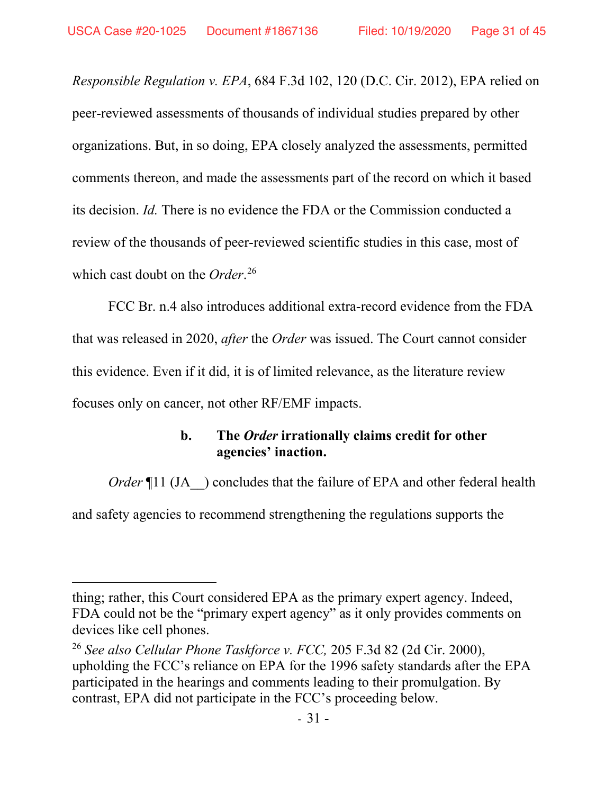*Responsible Regulation v. EPA*, 684 F.3d 102, 120 (D.C. Cir. 2012), EPA relied on peer-reviewed assessments of thousands of individual studies prepared by other organizations. But, in so doing, EPA closely analyzed the assessments, permitted comments thereon, and made the assessments part of the record on which it based its decision. *Id.* There is no evidence the FDA or the Commission conducted a review of the thousands of peer-reviewed scientific studies in this case, most of which cast doubt on the *Order*. 26

FCC Br. n.4 also introduces additional extra-record evidence from the FDA that was released in 2020, *after* the *Order* was issued. The Court cannot consider this evidence. Even if it did, it is of limited relevance, as the literature review focuses only on cancer, not other RF/EMF impacts.

## **b. The** *Order* **irrationally claims credit for other agencies' inaction.**

*Order* ¶11 (JA ) concludes that the failure of EPA and other federal health

and safety agencies to recommend strengthening the regulations supports the

thing; rather, this Court considered EPA as the primary expert agency. Indeed, FDA could not be the "primary expert agency" as it only provides comments on devices like cell phones.

<sup>26</sup> *See also Cellular Phone Taskforce v. FCC,* 205 F.3d 82 (2d Cir. 2000), upholding the FCC's reliance on EPA for the 1996 safety standards after the EPA participated in the hearings and comments leading to their promulgation. By contrast, EPA did not participate in the FCC's proceeding below.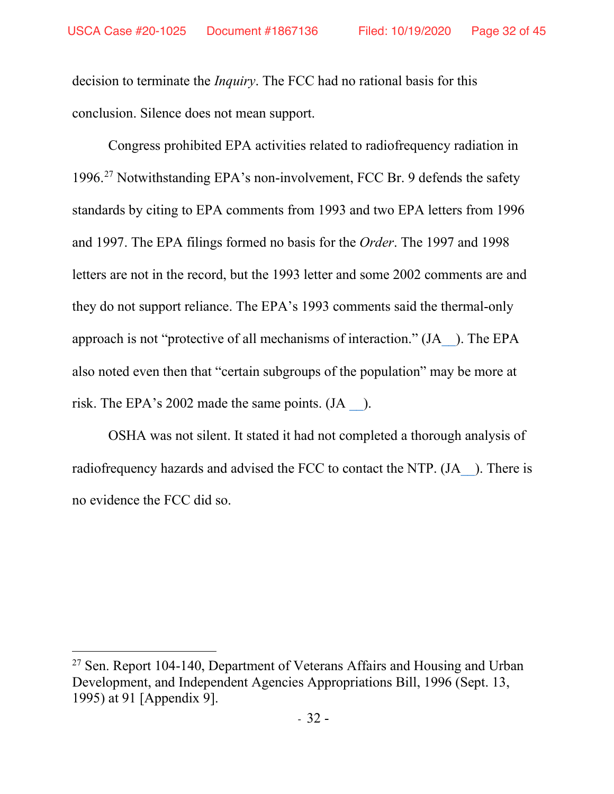decision to terminate the *Inquiry*. The FCC had no rational basis for this conclusion. Silence does not mean support.

Congress prohibited EPA activities related to radiofrequency radiation in 1996. <sup>27</sup> Notwithstanding EPA's non-involvement, FCC Br. 9 defends the safety standards by citing to EPA comments from 1993 and two EPA letters from 1996 and 1997. The EPA filings formed no basis for the *Order*. The 1997 and 1998 letters are not in the record, but the 1993 letter and some 2002 comments are and they do not support reliance. The EPA's 1993 comments said the thermal-only approach is not "protective of all mechanisms of interaction." (J[A\\_\\_\)](https://ecfsapi.fcc.gov/file/10707243848074/1993%20EPA%20Letter%20from%20Margo%20Oge%20(EPA)%20to%20the%20FCC%20Comments%20on%20FCC%2093-142%20Environmental%20Effects%20on%20Radiofrequency.pdf). The EPA also noted even then that "certain subgroups of the population" may be more at risk. The EPA's 2002 made the same points. (JA [\\_\\_\)](https://ecfsapi.fcc.gov/file/7520941295.pdf).

OSHA was not silent. It stated it had not completed a thorough analysis of radiofrequency hazards and advised the FCC to contact the NTP. (JA ). There is no evidence the FCC did so.

<sup>&</sup>lt;sup>27</sup> Sen. Report 104-140, Department of Veterans Affairs and Housing and Urban Development, and Independent Agencies Appropriations Bill, 1996 (Sept. 13, 1995) at 91 [Appendix 9].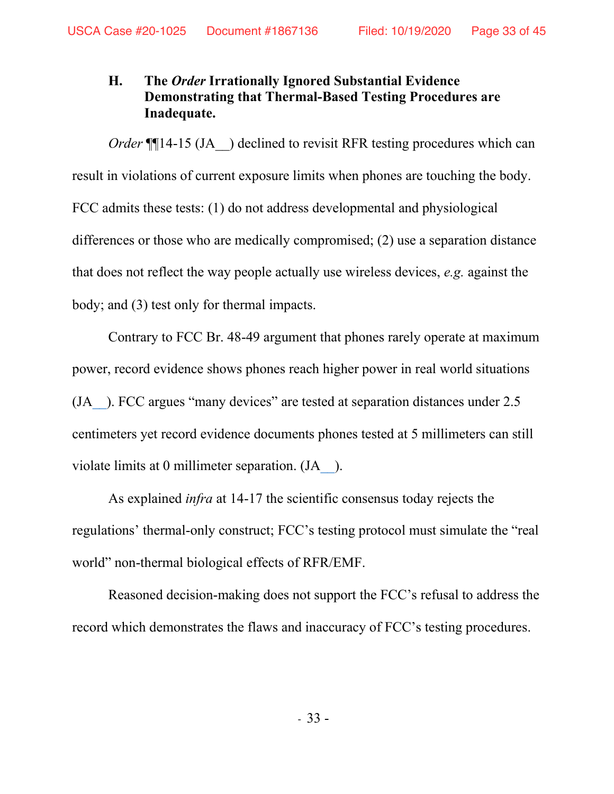# **H. The** *Order* **Irrationally Ignored Substantial Evidence Demonstrating that Thermal-Based Testing Procedures are Inadequate.**

*Order* ¶14-15 (JA ) declined to revisit RFR testing procedures which can result in violations of current exposure limits when phones are touching the body. FCC admits these tests: (1) do not address developmental and physiological differences or those who are medically compromised; (2) use a separation distance that does not reflect the way people actually use wireless devices, *e.g.* against the body; and (3) test only for thermal impacts.

Contrary to FCC Br. 48-49 argument that phones rarely operate at maximum power, record evidence shows phones reach higher power in real world situations (J[A\\_\\_\)](https://ecfsapi.fcc.gov/file/10913296696567/Real-world%20cell%20phone%20radiofrequency%20electromagnetic%20field%20exposures.pdf). FCC argues "many devices" are tested at separation distances under 2.5 centimeters yet record evidence documents phones tested at 5 millimeters can still violate limits at 0 millimeter separation. (JA ).

As explained *infra* at 14-17 the scientific consensus today rejects the regulations' thermal-only construct; FCC's testing protocol must simulate the "real world" non-thermal biological effects of RFR/EMF.

Reasoned decision-making does not support the FCC's refusal to address the record which demonstrates the flaws and inaccuracy of FCC's testing procedures.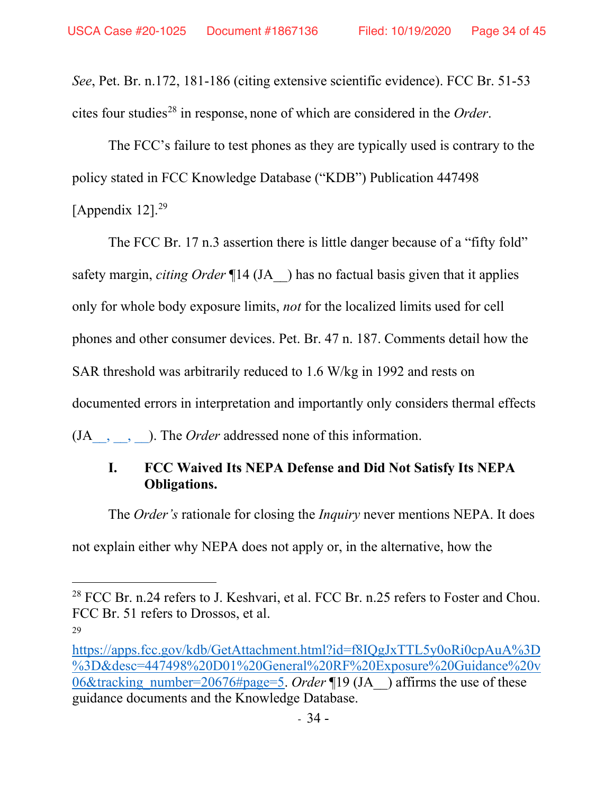*See*, Pet. Br. n.172, 181-186 (citing extensive scientific evidence). FCC Br. 51-53 cites four studies28 in response, none of which are considered in the *Order*.

The FCC's failure to test phones as they are typically used is contrary to the policy stated in FCC Knowledge Database ("KDB") Publication 447498 [Appendix  $12$ ].<sup>29</sup>

The FCC Br. 17 n.3 assertion there is little danger because of a "fifty fold" safety margin, *citing Order* ¶14 (JA\_\_) has no factual basis given that it applies only for whole body exposure limits, *not* for the localized limits used for cell phones and other consumer devices. Pet. Br. 47 n. 187. Comments detail how the SAR threshold was arbitrarily reduced to 1.6 W/kg in 1992 and rests on documented errors in interpretation and importantly only considers thermal effects (J[A\\_\\_,](https://ecfsapi.fcc.gov/file/7520958187.pdf) [\\_\\_,](https://ecfsapi.fcc.gov/file/7520958286.pdf) [\\_\\_\)](https://ecfsapi.fcc.gov/file/10707304111787/2016%20ANSIandIEEEStandardsUSExposuresLimitsAHistoryofTheirCreationbyLloydMorganEHTwebsite.pdf). The *Order* addressed none of this information.

# **I. FCC Waived Its NEPA Defense and Did Not Satisfy Its NEPA Obligations.**

The *Order's* rationale for closing the *Inquiry* never mentions NEPA. It does not explain either why NEPA does not apply or, in the alternative, how the

<sup>&</sup>lt;sup>28</sup> FCC Br. n.24 refers to J. Keshvari, et al. FCC Br. n.25 refers to Foster and Chou. FCC Br. 51 refers to Drossos, et al.

<sup>29</sup>

[https://apps.fcc.gov/kdb/GetAttachment.html?id=f8IQgJxTTL5y0oRi0cpAuA%3D](https://apps.fcc.gov/kdb/GetAttachment.html?id=f8IQgJxTTL5y0oRi0cpAuA%3D%3D&desc=447498%20D01%20General%20RF%20Exposure%20Guidance%20v06&tracking_number=20676#page=5) [%3D&desc=447498%20D01%20General%20RF%20Exposure%20Guidance%20v](https://apps.fcc.gov/kdb/GetAttachment.html?id=f8IQgJxTTL5y0oRi0cpAuA%3D%3D&desc=447498%20D01%20General%20RF%20Exposure%20Guidance%20v06&tracking_number=20676#page=5) [06&tracking\\_number=20676#page=5.](https://apps.fcc.gov/kdb/GetAttachment.html?id=f8IQgJxTTL5y0oRi0cpAuA%3D%3D&desc=447498%20D01%20General%20RF%20Exposure%20Guidance%20v06&tracking_number=20676#page=5) *Order* ¶19 (JA\_\_) affirms the use of these guidance documents and the Knowledge Database.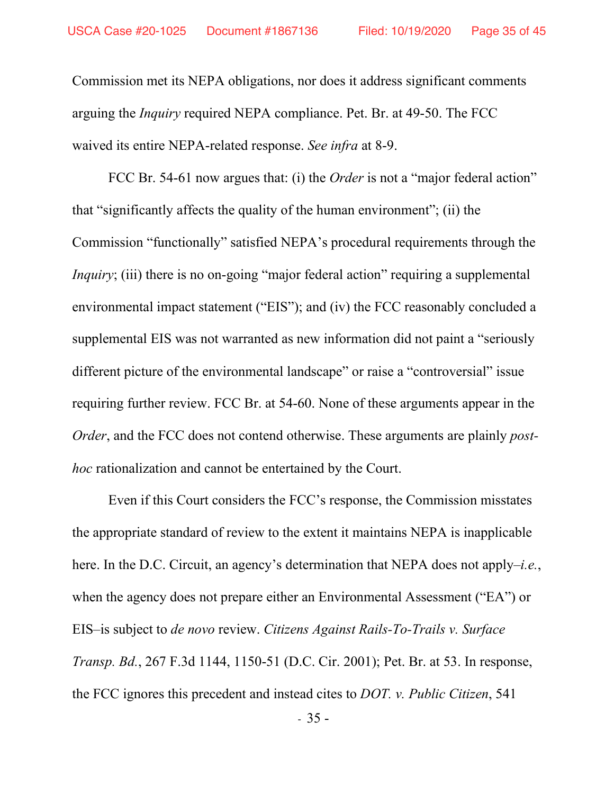Commission met its NEPA obligations, nor does it address significant comments arguing the *Inquiry* required NEPA compliance. Pet. Br. at 49-50. The FCC waived its entire NEPA-related response. *See infra* at 8-9.

FCC Br. 54-61 now argues that: (i) the *Order* is not a "major federal action" that "significantly affects the quality of the human environment"; (ii) the Commission "functionally" satisfied NEPA's procedural requirements through the *Inquiry*; (iii) there is no on-going "major federal action" requiring a supplemental environmental impact statement ("EIS"); and (iv) the FCC reasonably concluded a supplemental EIS was not warranted as new information did not paint a "seriously different picture of the environmental landscape" or raise a "controversial" issue requiring further review. FCC Br. at 54-60. None of these arguments appear in the *Order*, and the FCC does not contend otherwise. These arguments are plainly *posthoc* rationalization and cannot be entertained by the Court.

Even if this Court considers the FCC's response, the Commission misstates the appropriate standard of review to the extent it maintains NEPA is inapplicable here. In the D.C. Circuit, an agency's determination that NEPA does not apply–*i.e.*, when the agency does not prepare either an Environmental Assessment ("EA") or EIS–is subject to *de novo* review. *Citizens Against Rails-To-Trails v. Surface Transp. Bd.*, 267 F.3d 1144, 1150-51 (D.C. Cir. 2001); Pet. Br. at 53. In response, the FCC ignores this precedent and instead cites to *DOT. v. Public Citizen*, 541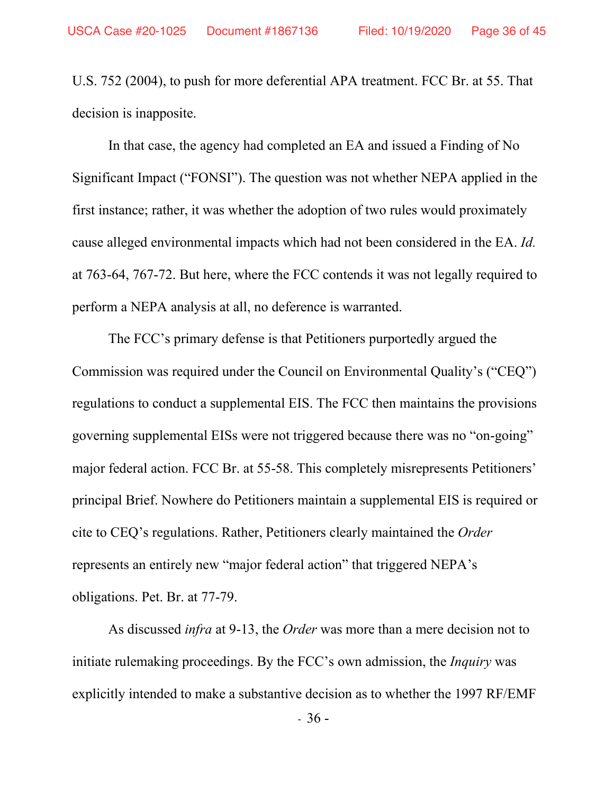U.S. 752 (2004), to push for more deferential APA treatment. FCC Br. at 55. That decision is inapposite.

In that case, the agency had completed an EA and issued a Finding of No Significant Impact ("FONSI"). The question was not whether NEPA applied in the first instance; rather, it was whether the adoption of two rules would proximately cause alleged environmental impacts which had not been considered in the EA. *Id.*  at 763-64, 767-72. But here, where the FCC contends it was not legally required to perform a NEPA analysis at all, no deference is warranted.

The FCC's primary defense is that Petitioners purportedly argued the Commission was required under the Council on Environmental Quality's ("CEQ") regulations to conduct a supplemental EIS. The FCC then maintains the provisions governing supplemental EISs were not triggered because there was no "on-going" major federal action. FCC Br. at 55-58. This completely misrepresents Petitioners' principal Brief. Nowhere do Petitioners maintain a supplemental EIS is required or cite to CEQ's regulations. Rather, Petitioners clearly maintained the *Order*  represents an entirely new "major federal action" that triggered NEPA's obligations. Pet. Br. at 77-79.

As discussed *infra* at 9-13, the *Order* was more than a mere decision not to initiate rulemaking proceedings. By the FCC's own admission, the *Inquiry* was explicitly intended to make a substantive decision as to whether the 1997 RF/EMF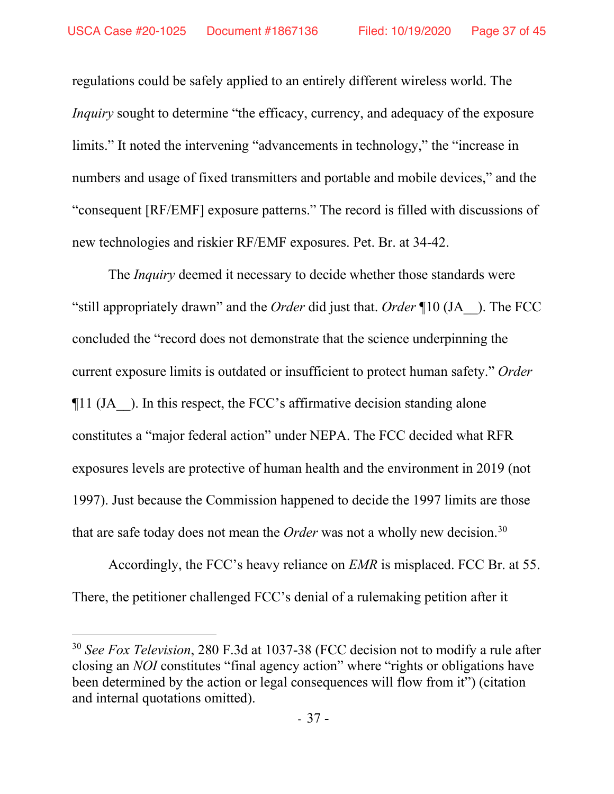regulations could be safely applied to an entirely different wireless world. The *Inquiry* sought to determine "the efficacy, currency, and adequacy of the exposure limits." It noted the intervening "advancements in technology," the "increase in numbers and usage of fixed transmitters and portable and mobile devices," and the "consequent [RF/EMF] exposure patterns." The record is filled with discussions of new technologies and riskier RF/EMF exposures. Pet. Br. at 34-42.

The *Inquiry* deemed it necessary to decide whether those standards were "still appropriately drawn" and the *Order* did just that. *Order* ¶10 (JA\_\_). The FCC concluded the "record does not demonstrate that the science underpinning the current exposure limits is outdated or insufficient to protect human safety." *Order*   $\P$ 11 (JA—). In this respect, the FCC's affirmative decision standing alone constitutes a "major federal action" under NEPA. The FCC decided what RFR exposures levels are protective of human health and the environment in 2019 (not 1997). Just because the Commission happened to decide the 1997 limits are those that are safe today does not mean the *Order* was not a wholly new decision.30

Accordingly, the FCC's heavy reliance on *EMR* is misplaced. FCC Br. at 55. There, the petitioner challenged FCC's denial of a rulemaking petition after it

<sup>30</sup> *See Fox Television*, 280 F.3d at 1037-38 (FCC decision not to modify a rule after closing an *NOI* constitutes "final agency action" where "rights or obligations have been determined by the action or legal consequences will flow from it") (citation and internal quotations omitted).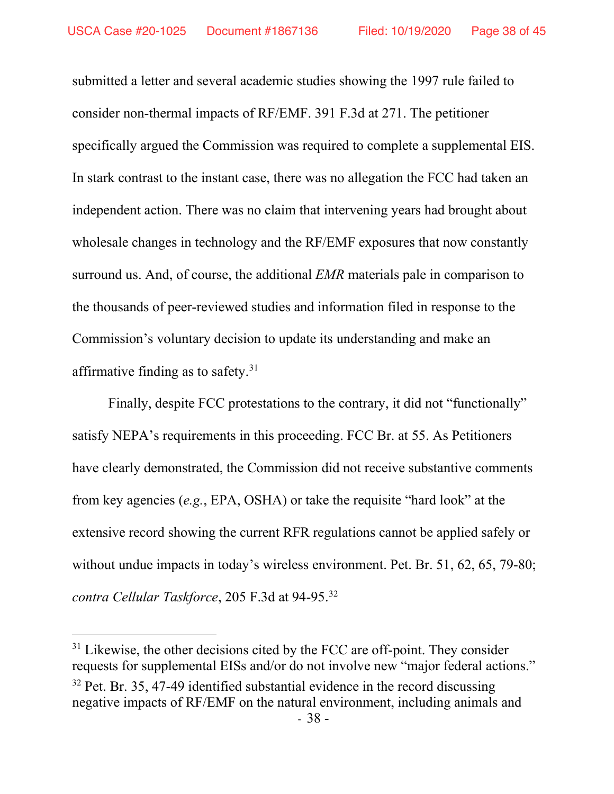submitted a letter and several academic studies showing the 1997 rule failed to consider non-thermal impacts of RF/EMF. 391 F.3d at 271. The petitioner specifically argued the Commission was required to complete a supplemental EIS. In stark contrast to the instant case, there was no allegation the FCC had taken an independent action. There was no claim that intervening years had brought about wholesale changes in technology and the RF/EMF exposures that now constantly surround us. And, of course, the additional *EMR* materials pale in comparison to the thousands of peer-reviewed studies and information filed in response to the Commission's voluntary decision to update its understanding and make an affirmative finding as to safety.<sup>31</sup>

Finally, despite FCC protestations to the contrary, it did not "functionally" satisfy NEPA's requirements in this proceeding. FCC Br. at 55. As Petitioners have clearly demonstrated, the Commission did not receive substantive comments from key agencies (*e.g.*, EPA, OSHA) or take the requisite "hard look" at the extensive record showing the current RFR regulations cannot be applied safely or without undue impacts in today's wireless environment. Pet. Br. 51, 62, 65, 79-80; *contra Cellular Taskforce*, 205 F.3d at 94-95. 32

 $31$  Likewise, the other decisions cited by the FCC are off-point. They consider requests for supplemental EISs and/or do not involve new "major federal actions."  $32$  Pet. Br. 35, 47-49 identified substantial evidence in the record discussing negative impacts of RF/EMF on the natural environment, including animals and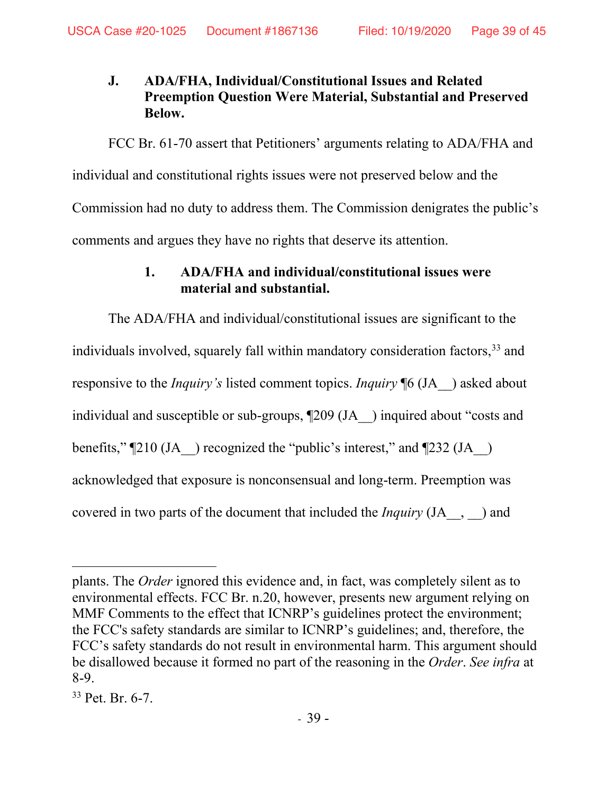# **J. ADA/FHA, Individual/Constitutional Issues and Related Preemption Question Were Material, Substantial and Preserved Below.**

 FCC Br. 61-70 assert that Petitioners' arguments relating to ADA/FHA and individual and constitutional rights issues were not preserved below and the Commission had no duty to address them. The Commission denigrates the public's comments and argues they have no rights that deserve its attention.

## **1. ADA/FHA and individual/constitutional issues were material and substantial.**

The ADA/FHA and individual/constitutional issues are significant to the individuals involved, squarely fall within mandatory consideration factors,<sup>33</sup> and responsive to the *Inquiry's* listed comment topics. *Inquiry* ¶6 (JA\_\_) asked about individual and susceptible or sub-groups, ¶209 (JA\_\_) inquired about "costs and benefits,"  $\sqrt{210}$  (JA ) recognized the "public's interest," and  $\sqrt{232}$  (JA ) acknowledged that exposure is nonconsensual and long-term. Preemption was covered in two parts of the document that included the *Inquiry* (JA\_\_, \_\_) and

plants. The *Order* ignored this evidence and, in fact, was completely silent as to environmental effects. FCC Br. n.20, however, presents new argument relying on MMF Comments to the effect that ICNRP's guidelines protect the environment; the FCC's safety standards are similar to ICNRP's guidelines; and, therefore, the FCC's safety standards do not result in environmental harm. This argument should be disallowed because it formed no part of the reasoning in the *Order*. *See infra* at 8-9.

<sup>33</sup> Pet. Br. 6-7.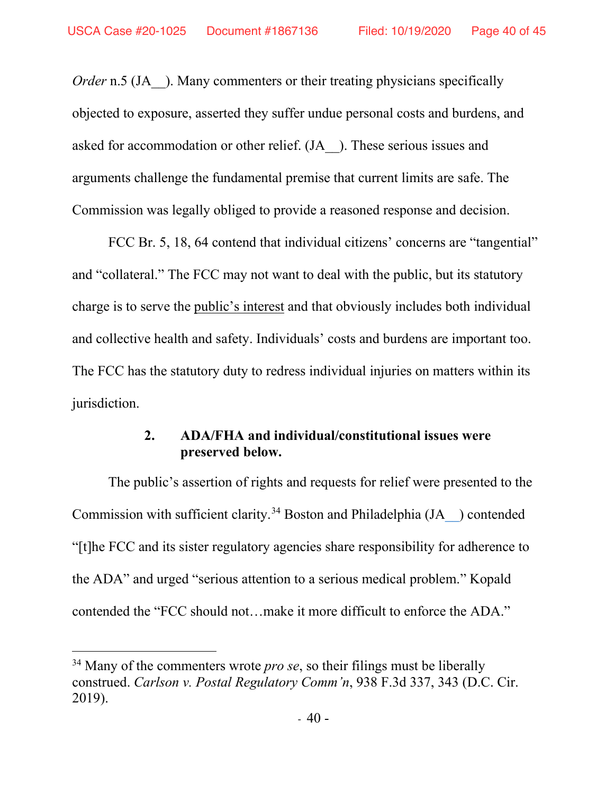*Order* n.5 (JA ). Many commenters or their treating physicians specifically objected to exposure, asserted they suffer undue personal costs and burdens, and asked for accommodation or other relief. (JA\_\_). These serious issues and arguments challenge the fundamental premise that current limits are safe. The Commission was legally obliged to provide a reasoned response and decision.

FCC Br. 5, 18, 64 contend that individual citizens' concerns are "tangential" and "collateral." The FCC may not want to deal with the public, but its statutory charge is to serve the public's interest and that obviously includes both individual and collective health and safety. Individuals' costs and burdens are important too. The FCC has the statutory duty to redress individual injuries on matters within its jurisdiction.

## **2. ADA/FHA and individual/constitutional issues were preserved below.**

The public's assertion of rights and requests for relief were presented to the Commission with sufficient clarity.<sup>34</sup> Boston and Philadelphia  $(JA_{\text{c}})$  contended "[t]he FCC and its sister regulatory agencies share responsibility for adherence to the ADA" and urged "serious attention to a serious medical problem." Kopald contended the "FCC should not…make it more difficult to enforce the ADA."

<sup>&</sup>lt;sup>34</sup> Many of the commenters wrote *pro se*, so their filings must be liberally construed. *Carlson v. Postal Regulatory Comm'n*, 938 F.3d 337, 343 (D.C. Cir. 2019).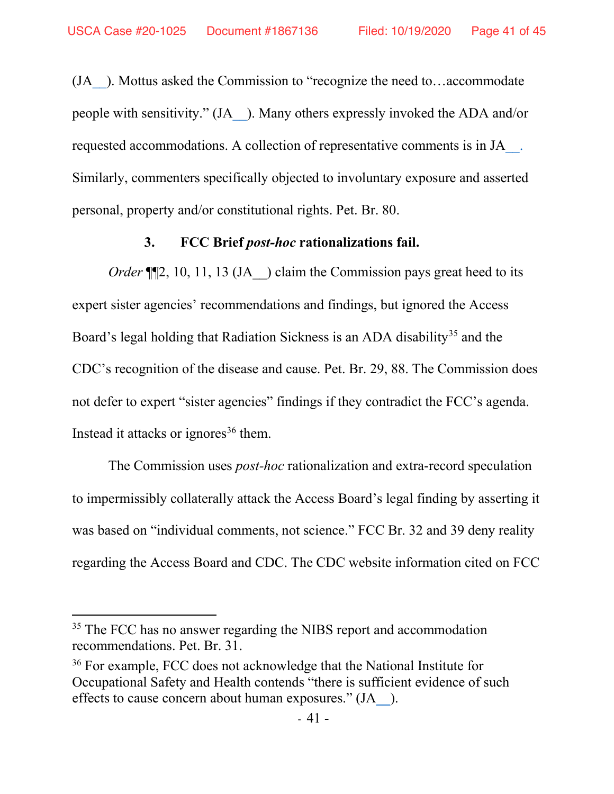(J[A\\_\\_\)](https://ecfsapi.fcc.gov/file/107132219121452/FCC%20comments.docx). Mottus asked the Commission to "recognize the need to…accommodate people with sensitivity." (J[A\\_\\_\)](https://ecfsapi.fcc.gov/file/109281319517547/Statement%202.pdf). Many others expressly invoked the ADA and/or requested accommodations. A collection of representative comments is in J[A\\_\\_.](https://ecfsapi.fcc.gov/file/7520941888.pdf) Similarly, commenters specifically objected to involuntary exposure and asserted personal, property and/or constitutional rights. Pet. Br. 80.

### **3. FCC Brief** *post-hoc* **rationalizations fail.**

*Order* ¶[2, 10, 11, 13 (JA ) claim the Commission pays great heed to its expert sister agencies' recommendations and findings, but ignored the Access Board's legal holding that Radiation Sickness is an ADA disability<sup>35</sup> and the CDC's recognition of the disease and cause. Pet. Br. 29, 88. The Commission does not defer to expert "sister agencies" findings if they contradict the FCC's agenda. Instead it attacks or ignores $36$  them.

The Commission uses *post-hoc* rationalization and extra-record speculation to impermissibly collaterally attack the Access Board's legal finding by asserting it was based on "individual comments, not science." FCC Br. 32 and 39 deny reality regarding the Access Board and CDC. The CDC website information cited on FCC

<sup>&</sup>lt;sup>35</sup> The FCC has no answer regarding the NIBS report and accommodation recommendations. Pet. Br. 31.

<sup>&</sup>lt;sup>36</sup> For example, FCC does not acknowledge that the National Institute for Occupational Safety and Health contends "there is sufficient evidence of such effects to cause concern about human exposures." (J[A\\_\\_\)](https://ecfsapi.fcc.gov/file/1070786836035/False%20Statements%20Made%20on%20MCPS%20Webpage%20Feb%202016%20Letter%20to%20MCPS.pdf#page=34).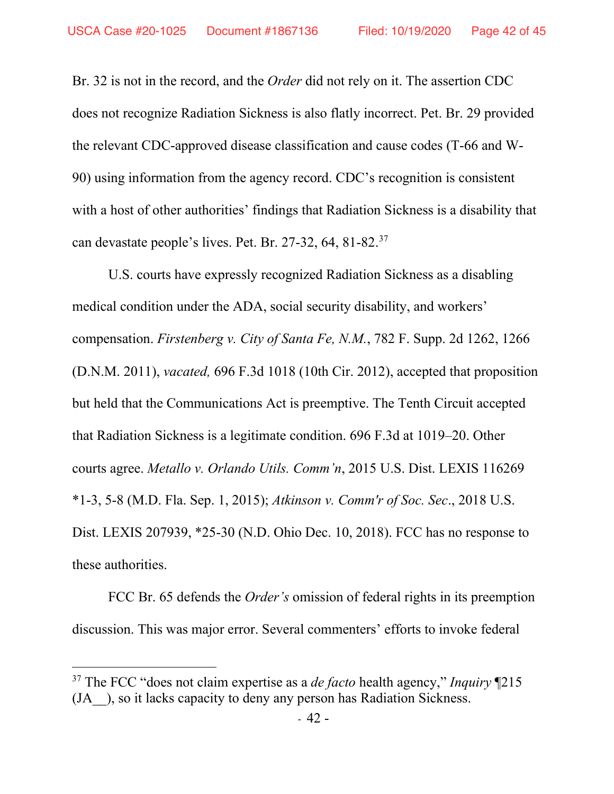Br. 32 is not in the record, and the *Order* did not rely on it. The assertion CDC does not recognize Radiation Sickness is also flatly incorrect. Pet. Br. 29 provided the relevant CDC-approved disease classification and cause codes (T-66 and W-90) using information from the agency record. CDC's recognition is consistent with a host of other authorities' findings that Radiation Sickness is a disability that can devastate people's lives. Pet. Br. 27-32, 64, 81-82.37

U.S. courts have expressly recognized Radiation Sickness as a disabling medical condition under the ADA, social security disability, and workers' compensation. *Firstenberg v. City of Santa Fe, N.M.*, 782 F. Supp. 2d 1262, 1266 (D.N.M. 2011), *vacated,* 696 F.3d 1018 (10th Cir. 2012), accepted that proposition but held that the Communications Act is preemptive. The Tenth Circuit accepted that Radiation Sickness is a legitimate condition. 696 F.3d at 1019–20. Other courts agree. *Metallo v. Orlando Utils. Comm'n*, 2015 U.S. Dist. LEXIS 116269 \*1-3, 5-8 (M.D. Fla. Sep. 1, 2015); *Atkinson v. Comm'r of Soc. Sec*., 2018 U.S. Dist. LEXIS 207939, \*25-30 (N.D. Ohio Dec. 10, 2018). FCC has no response to these authorities.

FCC Br. 65 defends the *Order's* omission of federal rights in its preemption discussion. This was major error. Several commenters' efforts to invoke federal

<sup>37</sup> The FCC "does not claim expertise as a *de facto* health agency," *Inquiry* ¶215 (JA\_\_), so it lacks capacity to deny any person has Radiation Sickness.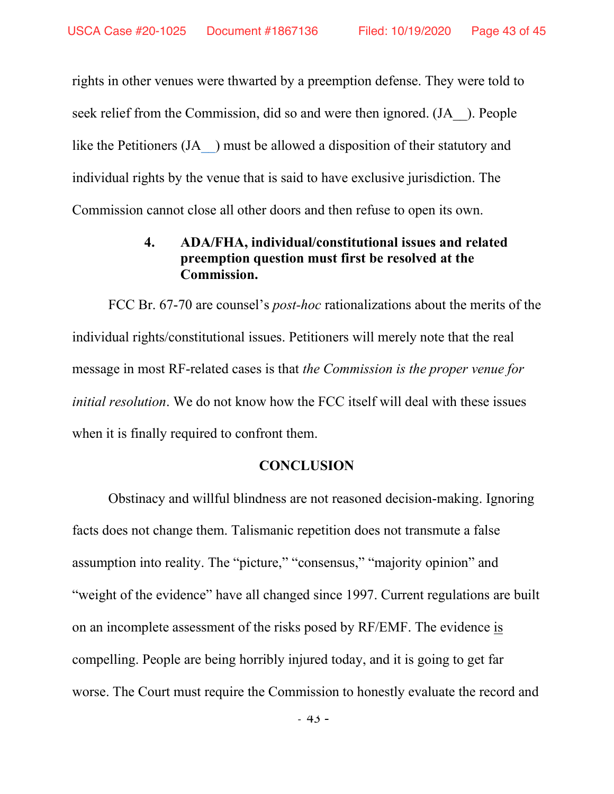rights in other venues were thwarted by a preemption defense. They were told to seek relief from the Commission, did so and were then ignored. (JA ). People like the Petitioners (JA ) must be allowed a disposition of their statutory and individual rights by the venue that is said to have exclusive jurisdiction. The Commission cannot close all other doors and then refuse to open its own.

## **4. ADA/FHA, individual/constitutional issues and related preemption question must first be resolved at the Commission.**

FCC Br. 67-70 are counsel's *post-hoc* rationalizations about the merits of the individual rights/constitutional issues. Petitioners will merely note that the real message in most RF-related cases is that *the Commission is the proper venue for initial resolution*. We do not know how the FCC itself will deal with these issues when it is finally required to confront them.

## **CONCLUSION**

Obstinacy and willful blindness are not reasoned decision-making. Ignoring facts does not change them. Talismanic repetition does not transmute a false assumption into reality. The "picture," "consensus," "majority opinion" and "weight of the evidence" have all changed since 1997. Current regulations are built on an incomplete assessment of the risks posed by RF/EMF. The evidence is compelling. People are being horribly injured today, and it is going to get far worse. The Court must require the Commission to honestly evaluate the record and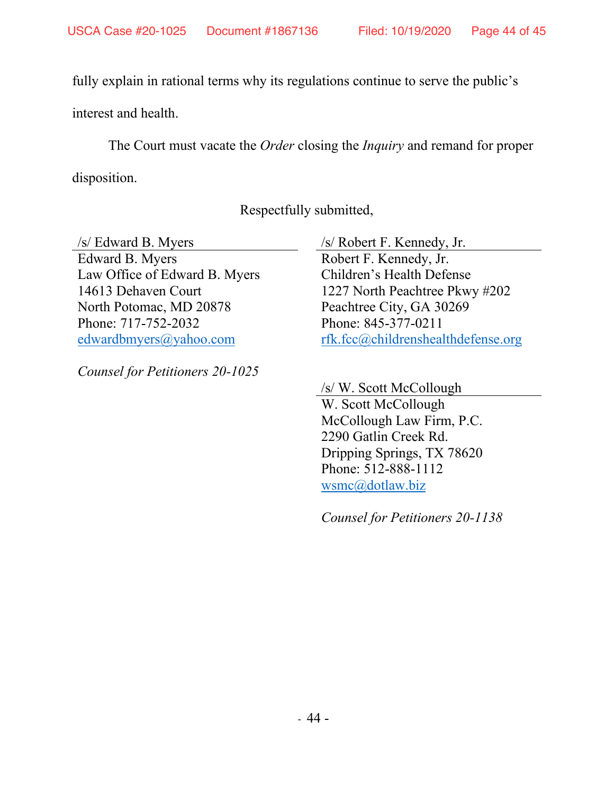fully explain in rational terms why its regulations continue to serve the public's

interest and health.

The Court must vacate the *Order* closing the *Inquiry* and remand for proper

disposition.

Respectfully submitted,

Edward B. Myers Law Office of Edward B. Myers 14613 Dehaven Court North Potomac, MD 20878 Phone: 717-752-2032 [edwardbmyers@yahoo.com](mailto:edwardbmyers@yahoo.com)

*Counsel for Petitioners 20-1025*

/s/ Edward B. Myers /s/ Robert F. Kennedy, Jr.

Robert F. Kennedy, Jr. Children's Health Defense 1227 North Peachtree Pkwy #202 Peachtree City, GA 30269 Phone: 845-377-0211 [rfk.fcc@childrenshealthdefense.org](mailto:rfk.fcc@childrenshealthdefense.org)

/s/ W. Scott McCollough W. Scott McCollough McCollough Law Firm, P.C. 2290 Gatlin Creek Rd. Dripping Springs, TX 78620 Phone: 512-888-1112 [wsmc@dotlaw.biz](mailto:wsmc@dotlaw.biz)

*Counsel for Petitioners 20-1138*